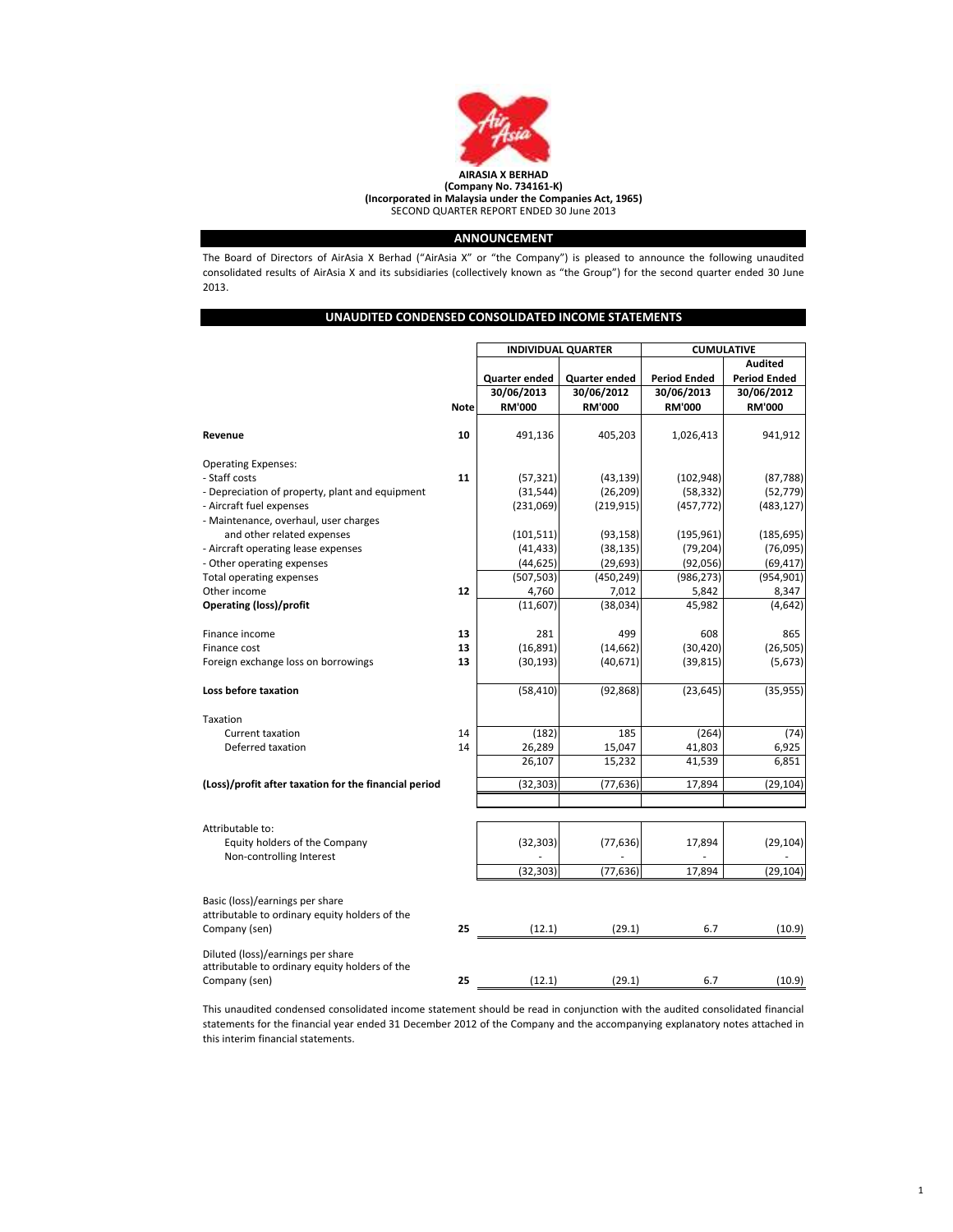

# ANNOUNCEMENT

The Board of Directors of AirAsia X Berhad ("AirAsia X" or "the Company") is pleased to announce the following unaudited consolidated results of AirAsia X and its subsidiaries (collectively known as "the Group") for the second quarter ended 30 June 2013.

|                                                                     |             | <b>INDIVIDUAL QUARTER</b> |                        | <b>CUMULATIVE</b>      |                     |  |
|---------------------------------------------------------------------|-------------|---------------------------|------------------------|------------------------|---------------------|--|
|                                                                     |             |                           |                        |                        | <b>Audited</b>      |  |
|                                                                     |             | Quarter ended             | Quarter ended          | <b>Period Ended</b>    | <b>Period Ended</b> |  |
|                                                                     |             | 30/06/2013                | 30/06/2012             | 30/06/2013             | 30/06/2012          |  |
|                                                                     | <b>Note</b> | <b>RM'000</b>             | <b>RM'000</b>          | <b>RM'000</b>          | <b>RM'000</b>       |  |
|                                                                     |             |                           |                        |                        |                     |  |
| Revenue                                                             | 10          | 491,136                   | 405,203                | 1,026,413              | 941,912             |  |
| <b>Operating Expenses:</b>                                          |             |                           |                        |                        |                     |  |
| - Staff costs                                                       | 11          | (57, 321)                 | (43, 139)              | (102, 948)             | (87, 788)           |  |
| - Depreciation of property, plant and equipment                     |             | (31, 544)                 | (26, 209)              | (58, 332)              | (52, 779)           |  |
| - Aircraft fuel expenses                                            |             | (231,069)                 | (219, 915)             | (457, 772)             | (483, 127)          |  |
| - Maintenance, overhaul, user charges<br>and other related expenses |             | (101, 511)                | (93, 158)              | (195, 961)             | (185, 695)          |  |
| - Aircraft operating lease expenses                                 |             |                           |                        |                        | (76,095)            |  |
|                                                                     |             | (41, 433)<br>(44, 625)    | (38, 135)<br>(29, 693) | (79, 204)<br>(92, 056) | (69, 417)           |  |
| - Other operating expenses                                          |             | (507, 503)                | (450, 249)             | (986, 273)             | (954, 901)          |  |
| Total operating expenses<br>Other income                            | 12          | 4,760                     | 7,012                  | 5,842                  | 8,347               |  |
| <b>Operating (loss)/profit</b>                                      |             | (11,607)                  | (38, 034)              | 45,982                 | (4, 642)            |  |
|                                                                     |             |                           |                        |                        |                     |  |
| Finance income                                                      | 13          | 281                       | 499                    | 608                    | 865                 |  |
| Finance cost                                                        | 13          | (16, 891)                 | (14, 662)              | (30, 420)              | (26, 505)           |  |
| Foreign exchange loss on borrowings                                 | 13          | (30, 193)                 | (40, 671)              | (39, 815)              | (5,673)             |  |
| Loss before taxation                                                |             | (58, 410)                 | (92, 868)              | (23, 645)              | (35, 955)           |  |
| Taxation                                                            |             |                           |                        |                        |                     |  |
| Current taxation                                                    | 14          | (182)                     | 185                    | (264)                  | (74)                |  |
| Deferred taxation                                                   | 14          | 26,289                    | 15,047                 | 41,803                 | 6,925               |  |
|                                                                     |             | 26,107                    | 15,232                 | 41,539                 | 6,851               |  |
| (Loss)/profit after taxation for the financial period               |             | (32, 303)                 | (77, 636)              | 17,894                 | (29, 104)           |  |
|                                                                     |             |                           |                        |                        |                     |  |
| Attributable to:                                                    |             |                           |                        |                        |                     |  |
| Equity holders of the Company<br>Non-controlling Interest           |             | (32, 303)                 | (77, 636)              | 17,894                 | (29, 104)           |  |
|                                                                     |             | (32, 303)                 | (77, 636)              | 17,894                 | (29, 104)           |  |
|                                                                     |             |                           |                        |                        |                     |  |
| Basic (loss)/earnings per share                                     |             |                           |                        |                        |                     |  |
| attributable to ordinary equity holders of the                      |             |                           |                        |                        |                     |  |
| Company (sen)                                                       | 25          | (12.1)                    | (29.1)                 | 6.7                    | (10.9)              |  |
| Diluted (loss)/earnings per share                                   |             |                           |                        |                        |                     |  |
| attributable to ordinary equity holders of the<br>Company (sen)     | 25          | (12.1)                    | (29.1)                 | 6.7                    | (10.9)              |  |

This unaudited condensed consolidated income statement should be read in conjunction with the audited consolidated financial statements for the financial year ended 31 December 2012 of the Company and the accompanying explanatory notes attached in this interim financial statements.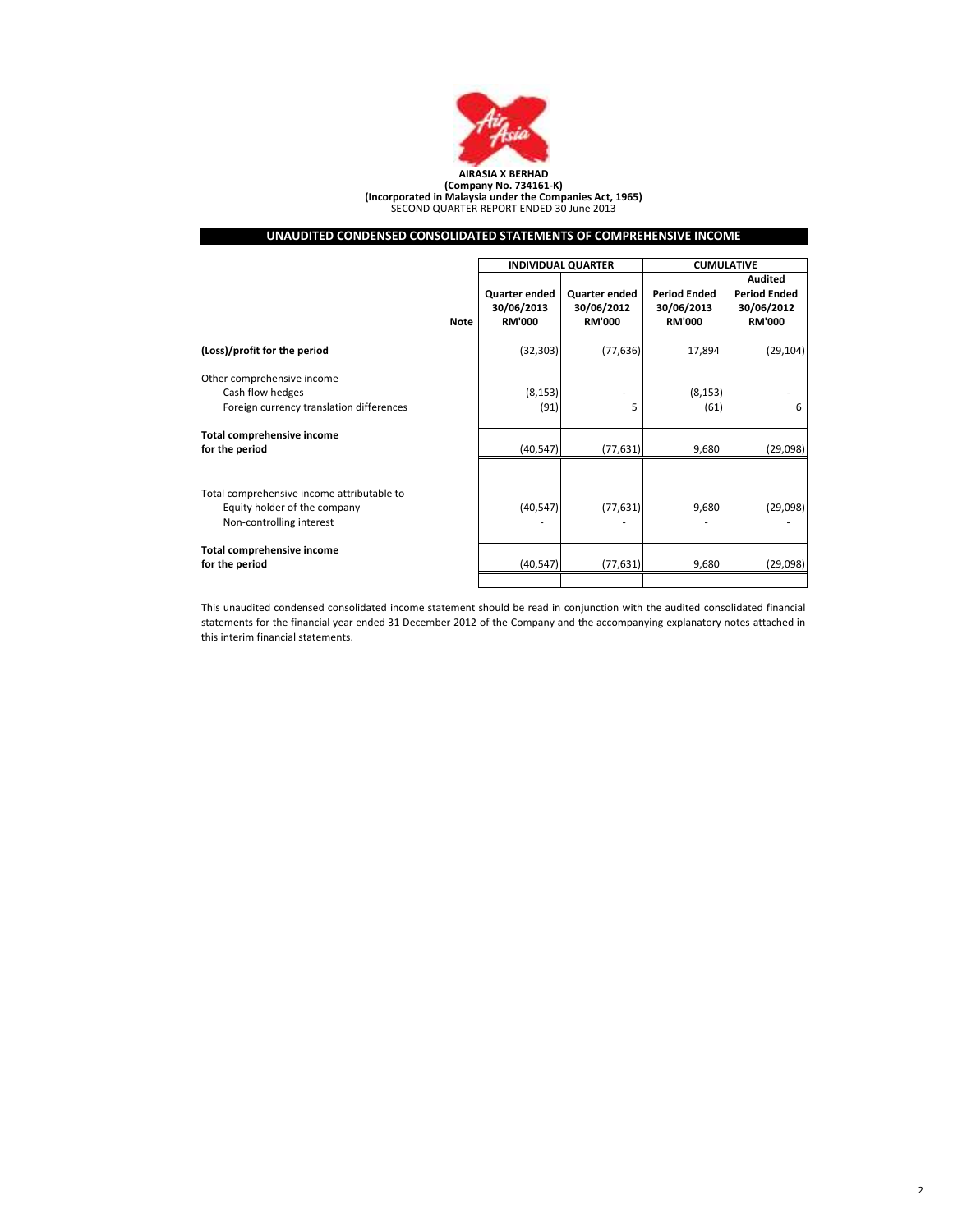

(Company No. 734161-K) (Incorporated in Malaysia under the Companies Act, 1965) SECOND QUARTER REPORT ENDED 30 June 2013

# UNAUDITED CONDENSED CONSOLIDATED STATEMENTS OF COMPREHENSIVE INCOME

|                                                                                                        |             | <b>INDIVIDUAL QUARTER</b> |               | <b>CUMULATIVE</b>   |                     |  |
|--------------------------------------------------------------------------------------------------------|-------------|---------------------------|---------------|---------------------|---------------------|--|
|                                                                                                        |             |                           |               |                     | Audited             |  |
|                                                                                                        |             | Quarter ended             | Quarter ended | <b>Period Ended</b> | <b>Period Ended</b> |  |
|                                                                                                        |             | 30/06/2013                | 30/06/2012    | 30/06/2013          | 30/06/2012          |  |
|                                                                                                        | <b>Note</b> | <b>RM'000</b>             | <b>RM'000</b> | <b>RM'000</b>       | <b>RM'000</b>       |  |
| (Loss)/profit for the period                                                                           |             | (32, 303)                 | (77, 636)     | 17,894              | (29, 104)           |  |
| Other comprehensive income<br>Cash flow hedges<br>Foreign currency translation differences             |             | (8, 153)<br>(91)          | 5             | (8, 153)<br>(61)    | 6                   |  |
| Total comprehensive income<br>for the period                                                           |             | (40, 547)                 | (77, 631)     | 9,680               | (29,098)            |  |
| Total comprehensive income attributable to<br>Equity holder of the company<br>Non-controlling interest |             | (40, 547)                 | (77, 631)     | 9,680               | (29,098)            |  |
| Total comprehensive income<br>for the period                                                           |             | (40, 547)                 | (77, 631)     | 9,680               | (29,098)            |  |
|                                                                                                        |             |                           |               |                     |                     |  |

This unaudited condensed consolidated income statement should be read in conjunction with the audited consolidated financial statements for the financial year ended 31 December 2012 of the Company and the accompanying explanatory notes attached in this interim financial statements.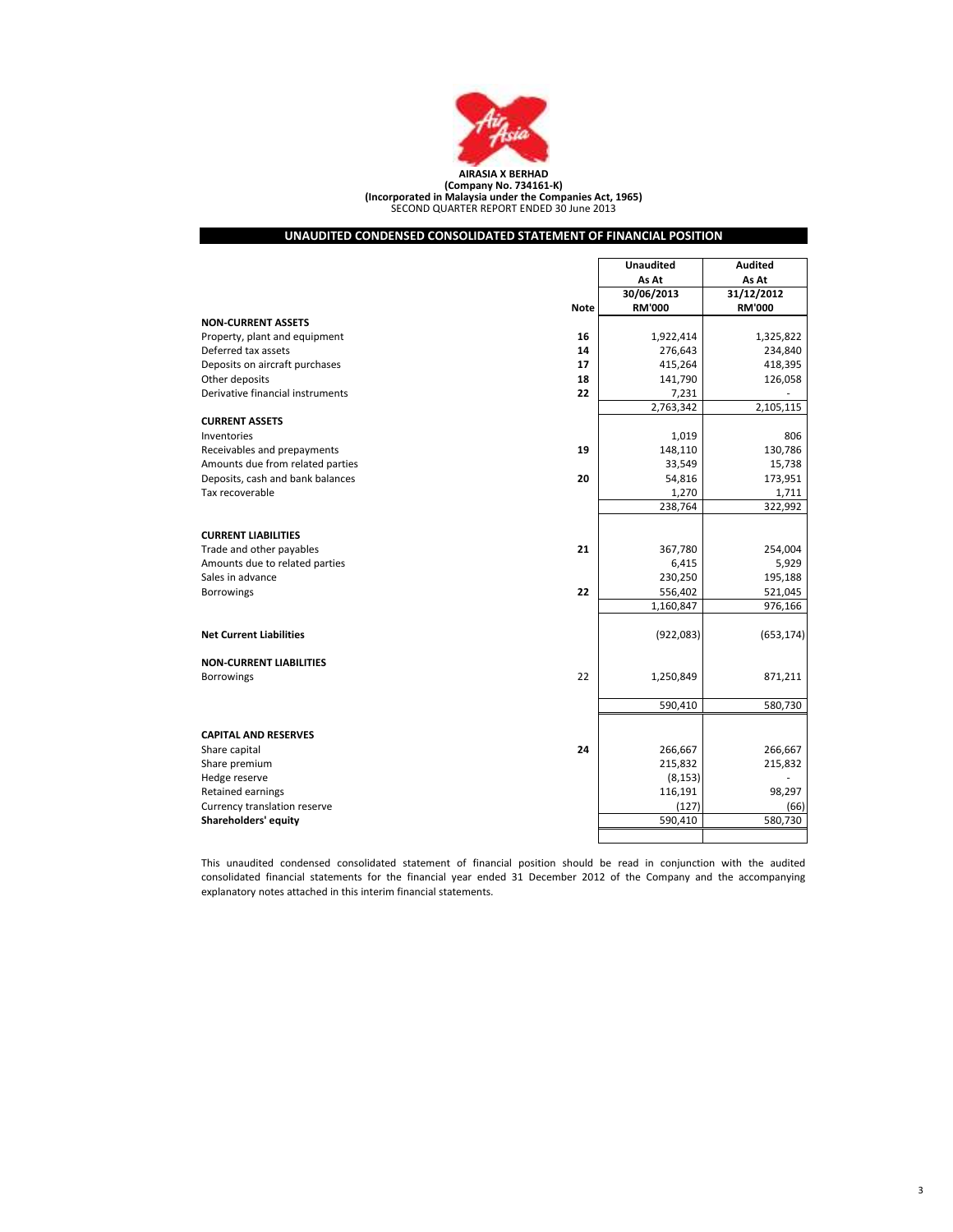

SECOND QUARTER REPORT ENDED 30 June 2013 (Company No. 734161-K) (Incorporated in Malaysia under the Companies Act, 1965)

# UNAUDITED CONDENSED CONSOLIDATED STATEMENT OF FINANCIAL POSITION

|                                  |             | <b>Unaudited</b> | <b>Audited</b> |
|----------------------------------|-------------|------------------|----------------|
|                                  |             | As At            | As At          |
|                                  |             | 30/06/2013       | 31/12/2012     |
|                                  | <b>Note</b> | <b>RM'000</b>    | <b>RM'000</b>  |
| <b>NON-CURRENT ASSETS</b>        |             |                  |                |
| Property, plant and equipment    | 16          | 1,922,414        | 1,325,822      |
| Deferred tax assets              | 14          | 276,643          | 234,840        |
| Deposits on aircraft purchases   | 17          | 415,264          | 418,395        |
| Other deposits                   | 18          | 141,790          | 126,058        |
| Derivative financial instruments | 22          | 7,231            |                |
|                                  |             | 2,763,342        | 2,105,115      |
| <b>CURRENT ASSETS</b>            |             |                  |                |
| Inventories                      |             | 1,019            | 806            |
| Receivables and prepayments      | 19          | 148,110          | 130,786        |
| Amounts due from related parties |             | 33,549           | 15,738         |
| Deposits, cash and bank balances | 20          | 54,816           | 173,951        |
| Tax recoverable                  |             | 1,270            | 1,711          |
|                                  |             | 238,764          | 322,992        |
|                                  |             |                  |                |
| <b>CURRENT LIABILITIES</b>       |             |                  |                |
| Trade and other payables         | 21          | 367,780          | 254,004        |
| Amounts due to related parties   |             | 6,415            | 5,929          |
| Sales in advance                 |             | 230,250          | 195,188        |
| <b>Borrowings</b>                | 22          | 556,402          | 521,045        |
|                                  |             | 1,160,847        | 976,166        |
|                                  |             |                  |                |
| <b>Net Current Liabilities</b>   |             | (922, 083)       | (653, 174)     |
|                                  |             |                  |                |
| <b>NON-CURRENT LIABILITIES</b>   | 22          | 1,250,849        | 871,211        |
| <b>Borrowings</b>                |             |                  |                |
|                                  |             | 590,410          | 580,730        |
|                                  |             |                  |                |
| <b>CAPITAL AND RESERVES</b>      |             |                  |                |
| Share capital                    | 24          | 266,667          | 266,667        |
| Share premium                    |             | 215,832          | 215,832        |
| Hedge reserve                    |             | (8, 153)         |                |
| Retained earnings                |             | 116,191          | 98,297         |
| Currency translation reserve     |             | (127)            | (66)           |
| Shareholders' equity             |             | 590,410          | 580,730        |
|                                  |             |                  |                |
|                                  |             |                  |                |

This unaudited condensed consolidated statement of financial position should be read in conjunction with the audited consolidated financial statements for the financial year ended 31 December 2012 of the Company and the accompanying explanatory notes attached in this interim financial statements.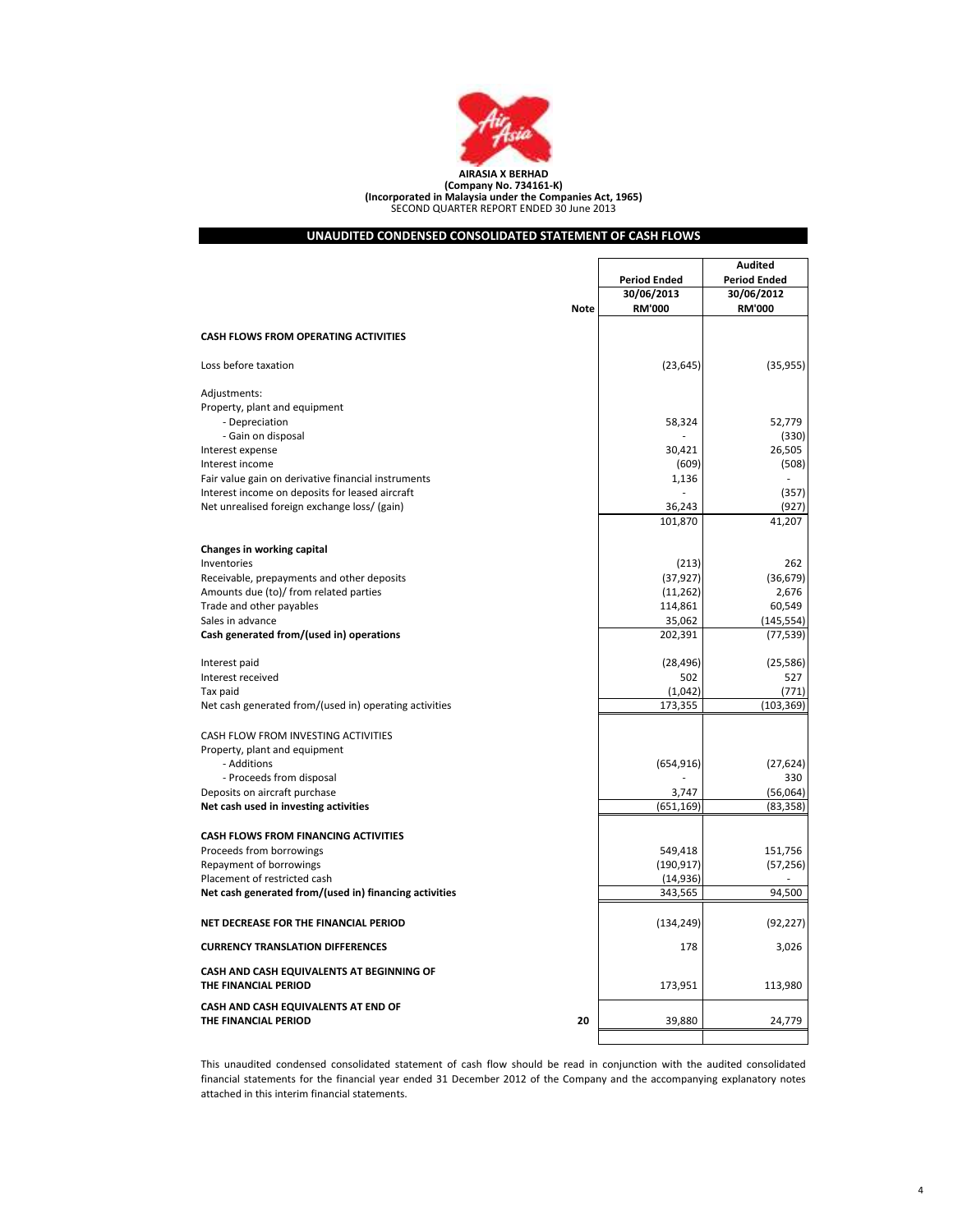

# UNAUDITED CONDENSED CONSOLIDATED STATEMENT OF CASH FLOWS

|                                                                   |                       | <b>Audited</b>      |
|-------------------------------------------------------------------|-----------------------|---------------------|
|                                                                   | <b>Period Ended</b>   | <b>Period Ended</b> |
|                                                                   | 30/06/2013            | 30/06/2012          |
| <b>Note</b>                                                       | <b>RM'000</b>         | <b>RM'000</b>       |
| <b>CASH FLOWS FROM OPERATING ACTIVITIES</b>                       |                       |                     |
|                                                                   |                       |                     |
| Loss before taxation                                              | (23, 645)             | (35, 955)           |
| Adjustments:                                                      |                       |                     |
| Property, plant and equipment                                     |                       |                     |
| - Depreciation                                                    | 58,324                | 52,779              |
| - Gain on disposal                                                |                       | (330)               |
| Interest expense                                                  | 30,421                | 26,505              |
| Interest income                                                   | (609)                 | (508)               |
| Fair value gain on derivative financial instruments               | 1,136                 |                     |
| Interest income on deposits for leased aircraft                   |                       | (357)               |
| Net unrealised foreign exchange loss/ (gain)                      | 36,243                | (927)               |
|                                                                   | 101,870               | 41,207              |
| Changes in working capital                                        |                       |                     |
| Inventories                                                       | (213)                 | 262                 |
| Receivable, prepayments and other deposits                        | (37, 927)             | (36, 679)           |
| Amounts due (to)/ from related parties                            | (11, 262)             | 2,676               |
| Trade and other payables                                          | 114,861               | 60,549              |
| Sales in advance                                                  | 35,062                | (145, 554)          |
| Cash generated from/(used in) operations                          | 202,391               | (77, 539)           |
|                                                                   |                       |                     |
| Interest paid                                                     | (28, 496)             | (25, 586)           |
| Interest received                                                 | 502                   | 527                 |
| Tax paid                                                          | (1,042)               | (771)               |
| Net cash generated from/(used in) operating activities            | 173,355               | (103, 369)          |
| CASH FLOW FROM INVESTING ACTIVITIES                               |                       |                     |
| Property, plant and equipment                                     |                       |                     |
| - Additions                                                       | (654, 916)            | (27, 624)           |
| - Proceeds from disposal                                          |                       | 330                 |
| Deposits on aircraft purchase                                     | 3,747                 | (56,064)            |
| Net cash used in investing activities                             | (651, 169)            | (83, 358)           |
|                                                                   |                       |                     |
| <b>CASH FLOWS FROM FINANCING ACTIVITIES</b>                       |                       |                     |
| Proceeds from borrowings<br>Repayment of borrowings               | 549,418<br>(190, 917) | 151,756             |
| Placement of restricted cash                                      | (14, 936)             | (57, 256)           |
| Net cash generated from/(used in) financing activities            | 343,565               | 94,500              |
|                                                                   |                       |                     |
| NET DECREASE FOR THE FINANCIAL PERIOD                             | (134, 249)            | (92, 227)           |
| <b>CURRENCY TRANSLATION DIFFERENCES</b>                           | 178                   | 3,026               |
| CASH AND CASH EQUIVALENTS AT BEGINNING OF<br>THE FINANCIAL PERIOD | 173,951               | 113,980             |
| CASH AND CASH EQUIVALENTS AT END OF<br>THE FINANCIAL PERIOD<br>20 | 39,880                | 24,779              |
|                                                                   |                       |                     |

This unaudited condensed consolidated statement of cash flow should be read in conjunction with the audited consolidated financial statements for the financial year ended 31 December 2012 of the Company and the accompanying explanatory notes attached in this interim financial statements.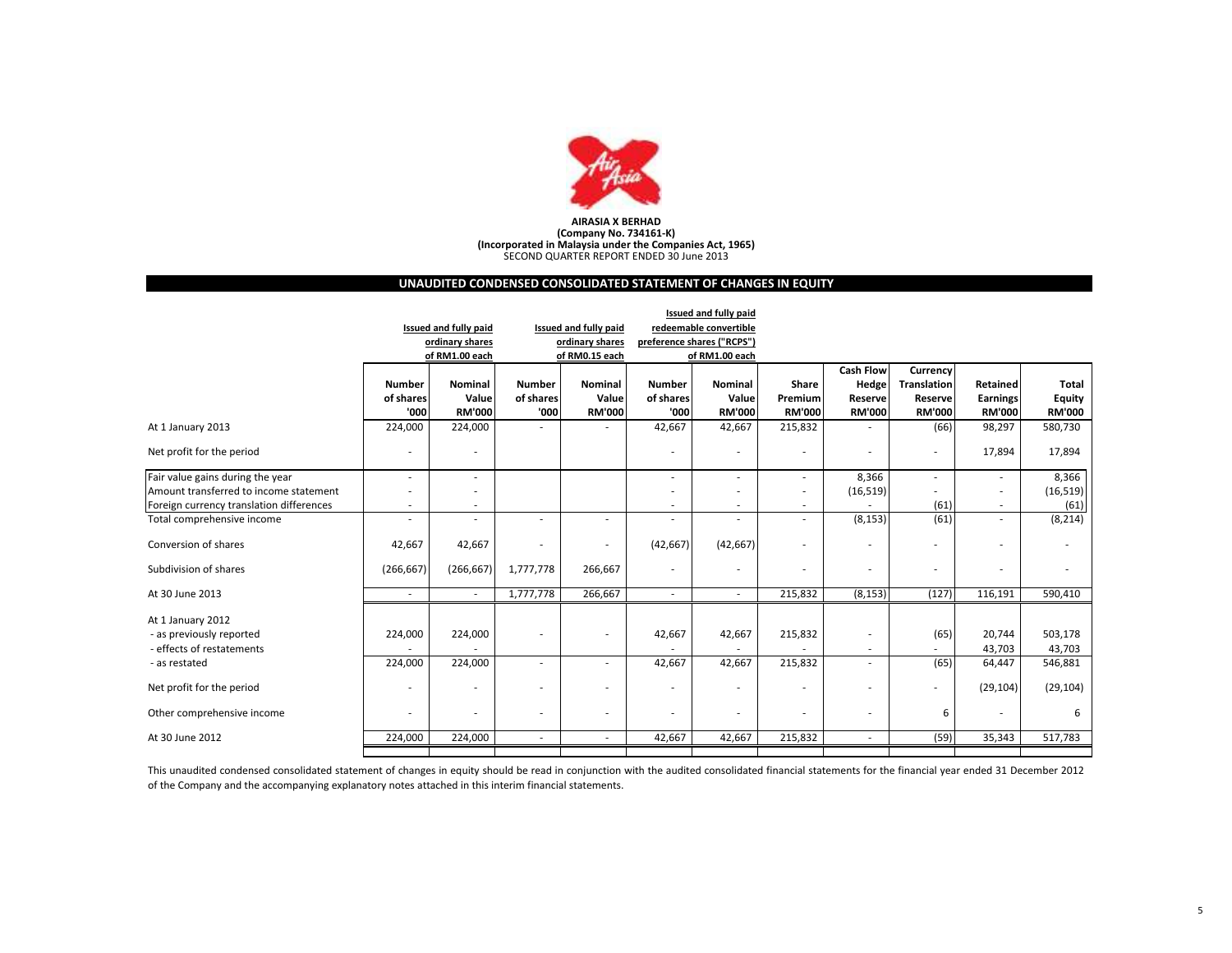

# AIRASIA X BERHAD (Company No. 734161-K) (Incorporated in Malaysia under the Companies Act, 1965) SECOND QUARTER REPORT ENDED 30 June 2013

# UNAUDITED CONDENSED CONSOLIDATED STATEMENT OF CHANGES IN EQUITY

|                                          | Issued and fully paid |                          |                          |                          |                          |                            |                          |                  |                          |                          |               |
|------------------------------------------|-----------------------|--------------------------|--------------------------|--------------------------|--------------------------|----------------------------|--------------------------|------------------|--------------------------|--------------------------|---------------|
|                                          |                       | Issued and fully paid    |                          | Issued and fully paid    |                          | redeemable convertible     |                          |                  |                          |                          |               |
|                                          |                       | ordinary shares          |                          | ordinary shares          |                          | preference shares ("RCPS") |                          |                  |                          |                          |               |
|                                          |                       | of RM1.00 each           |                          | of RM0.15 each           |                          | of RM1.00 each             |                          |                  |                          |                          |               |
|                                          |                       |                          |                          |                          |                          |                            |                          | <b>Cash Flow</b> | Currency                 |                          |               |
|                                          | <b>Number</b>         | Nominal                  | <b>Number</b>            | <b>Nominal</b>           | <b>Number</b>            | <b>Nominal</b>             | <b>Share</b>             | Hedge            | <b>Translation</b>       | Retained                 | <b>Total</b>  |
|                                          | of shares             | Value                    | of shares                | Value                    | of shares                | Value                      | Premium                  | Reserve          | Reserve                  | <b>Earnings</b>          | Equity        |
|                                          | '000                  | <b>RM'000</b>            | '000                     | <b>RM'000</b>            | '000                     | <b>RM'000</b>              | <b>RM'000</b>            | <b>RM'000</b>    | <b>RM'000</b>            | <b>RM'000</b>            | <b>RM'000</b> |
| At 1 January 2013                        | 224,000               | 224,000                  |                          |                          | 42,667                   | 42,667                     | 215,832                  |                  | (66)                     | 98,297                   | 580,730       |
| Net profit for the period                | ٠                     | ٠                        |                          |                          | ٠                        |                            |                          |                  | $\overline{\phantom{a}}$ | 17,894                   | 17,894        |
| Fair value gains during the year         | ۰                     | $\overline{\phantom{a}}$ |                          |                          | ٠                        | ٠                          | $\sim$                   | 8,366            | $\overline{\phantom{a}}$ | $\overline{\phantom{a}}$ | 8,366         |
| Amount transferred to income statement   |                       |                          |                          |                          |                          |                            |                          | (16, 519)        |                          |                          | (16, 519)     |
| Foreign currency translation differences | ٠                     | $\sim$                   |                          |                          | ٠                        |                            | a.                       |                  | (61)                     | ٠                        | (61)          |
| Total comprehensive income               | ٠                     | ٠                        |                          | ٠                        | ٠                        |                            | ٠                        | (8, 153)         | (61)                     |                          | (8, 214)      |
| Conversion of shares                     | 42,667                | 42,667                   |                          | ٠                        | (42, 667)                | (42, 667)                  |                          |                  | ۰                        |                          |               |
| Subdivision of shares                    | (266, 667)            | (266, 667)               | 1,777,778                | 266,667                  |                          |                            |                          | ٠                | ٠                        |                          |               |
| At 30 June 2013                          | $\sim$                | $\sim$                   | 1,777,778                | 266,667                  | $\overline{\phantom{a}}$ | $\sim$                     | 215,832                  | (8, 153)         | (127)                    | 116,191                  | 590,410       |
| At 1 January 2012                        |                       |                          |                          |                          |                          |                            |                          |                  |                          |                          |               |
| - as previously reported                 | 224,000               | 224,000                  |                          | $\overline{a}$           | 42,667                   | 42,667                     | 215,832                  |                  | (65)                     | 20,744                   | 503,178       |
| - effects of restatements                |                       |                          |                          |                          |                          |                            |                          |                  |                          | 43,703                   | 43,703        |
| - as restated                            | 224,000               | 224,000                  | $\sim$                   | ٠                        | 42,667                   | 42,667                     | 215,832                  | ÷                | (65)                     | 64,447                   | 546,881       |
| Net profit for the period                |                       | $\overline{\phantom{a}}$ | $\overline{\phantom{a}}$ | $\overline{\phantom{a}}$ | ٠                        |                            | $\overline{\phantom{a}}$ |                  | $\overline{\phantom{a}}$ | (29, 104)                | (29, 104)     |
| Other comprehensive income               |                       |                          | $\overline{\phantom{a}}$ | ٠                        |                          |                            |                          |                  | 6                        |                          | 6             |
| At 30 June 2012                          | 224,000               | 224,000                  | $\sim$                   | $\sim$                   | 42,667                   | 42,667                     | 215,832                  | ٠                | (59)                     | 35,343                   | 517,783       |
|                                          |                       |                          |                          |                          |                          |                            |                          |                  |                          |                          |               |

This unaudited condensed consolidated statement of changes in equity should be read in conjunction with the audited consolidated financial statements for the financial year ended 31 December 2012 of the Company and the accompanying explanatory notes attached in this interim financial statements.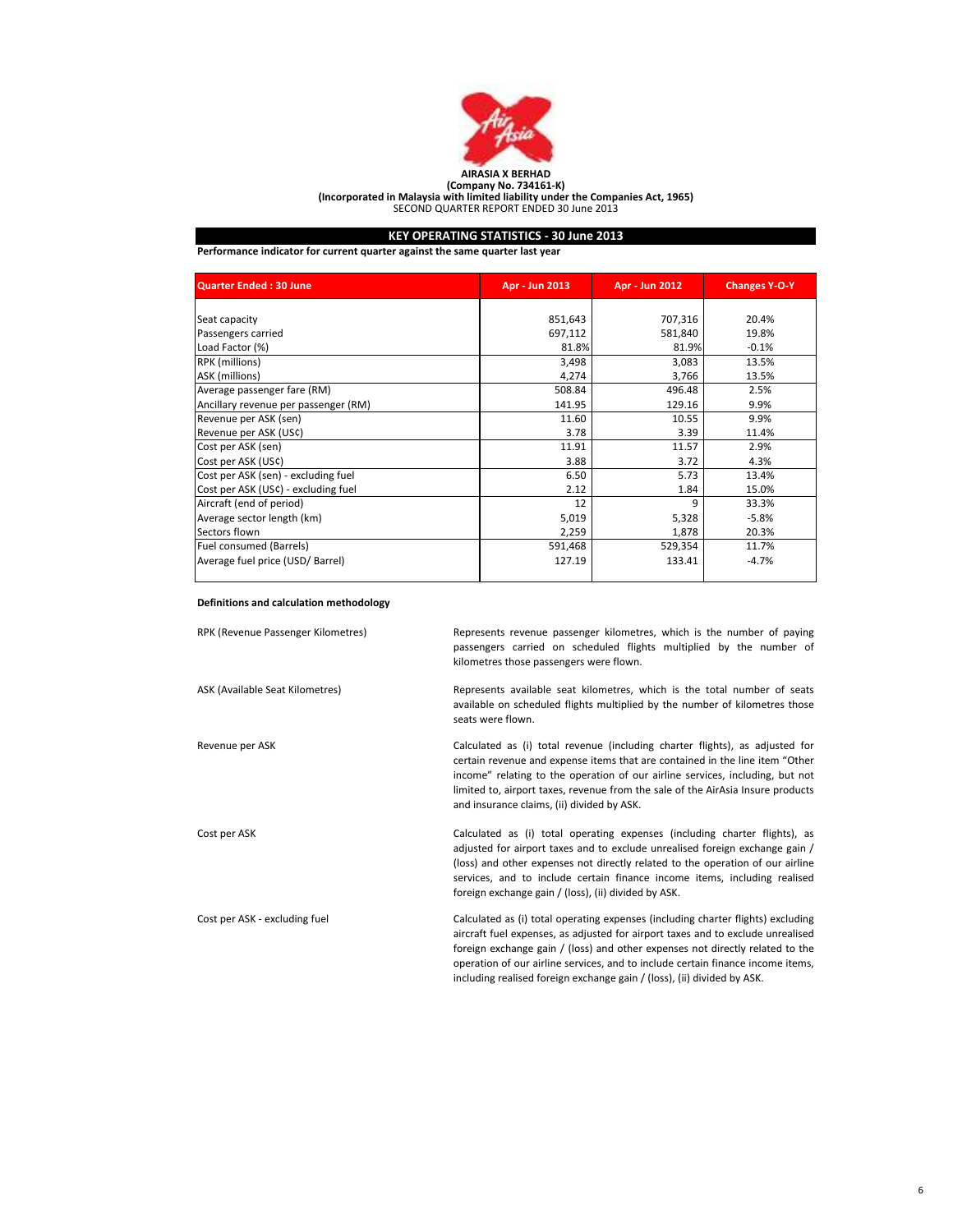

# KEY OPERATING STATISTICS - 30 June 2013

Performance indicator for current quarter against the same quarter last year

| <b>Quarter Ended: 30 June</b>        | Apr - Jun 2013 | Apr - Jun 2012 | <b>Changes Y-O-Y</b> |
|--------------------------------------|----------------|----------------|----------------------|
|                                      |                |                |                      |
| Seat capacity                        | 851,643        | 707,316        | 20.4%                |
| Passengers carried                   | 697,112        | 581,840        | 19.8%                |
| Load Factor (%)                      | 81.8%          | 81.9%          | $-0.1%$              |
| RPK (millions)                       | 3,498          | 3,083          | 13.5%                |
| ASK (millions)                       | 4,274          | 3,766          | 13.5%                |
| Average passenger fare (RM)          | 508.84         | 496.48         | 2.5%                 |
| Ancillary revenue per passenger (RM) | 141.95         | 129.16         | 9.9%                 |
| Revenue per ASK (sen)                | 11.60          | 10.55          | 9.9%                 |
| Revenue per ASK (US¢)                | 3.78           | 3.39           | 11.4%                |
| Cost per ASK (sen)                   | 11.91          | 11.57          | 2.9%                 |
| Cost per ASK (US¢)                   | 3.88           | 3.72           | 4.3%                 |
| Cost per ASK (sen) - excluding fuel  | 6.50           | 5.73           | 13.4%                |
| Cost per ASK (USC) - excluding fuel  | 2.12           | 1.84           | 15.0%                |
| Aircraft (end of period)             | 12             | 9              | 33.3%                |
| Average sector length (km)           | 5,019          | 5,328          | $-5.8%$              |
| Sectors flown                        | 2,259          | 1,878          | 20.3%                |
| Fuel consumed (Barrels)              | 591,468        | 529,354        | 11.7%                |
| Average fuel price (USD/ Barrel)     | 127.19         | 133.41         | $-4.7%$              |

# Definitions and calculation methodology

| RPK (Revenue Passenger Kilometres) | Represents revenue passenger kilometres, which is the number of paying<br>passengers carried on scheduled flights multiplied by the number of<br>kilometres those passengers were flown.                                                                                                                                                                                                                           |
|------------------------------------|--------------------------------------------------------------------------------------------------------------------------------------------------------------------------------------------------------------------------------------------------------------------------------------------------------------------------------------------------------------------------------------------------------------------|
| ASK (Available Seat Kilometres)    | Represents available seat kilometres, which is the total number of seats<br>available on scheduled flights multiplied by the number of kilometres those<br>seats were flown.                                                                                                                                                                                                                                       |
| Revenue per ASK                    | Calculated as (i) total revenue (including charter flights), as adjusted for<br>certain revenue and expense items that are contained in the line item "Other<br>income" relating to the operation of our airline services, including, but not<br>limited to, airport taxes, revenue from the sale of the AirAsia Insure products<br>and insurance claims, (ii) divided by ASK.                                     |
| Cost per ASK                       | Calculated as (i) total operating expenses (including charter flights), as<br>adjusted for airport taxes and to exclude unrealised foreign exchange gain /<br>(loss) and other expenses not directly related to the operation of our airline<br>services, and to include certain finance income items, including realised<br>foreign exchange gain / (loss), (ii) divided by ASK.                                  |
| Cost per ASK - excluding fuel      | Calculated as (i) total operating expenses (including charter flights) excluding<br>aircraft fuel expenses, as adjusted for airport taxes and to exclude unrealised<br>foreign exchange gain / (loss) and other expenses not directly related to the<br>operation of our airline services, and to include certain finance income items,<br>including realised foreign exchange gain / (loss), (ii) divided by ASK. |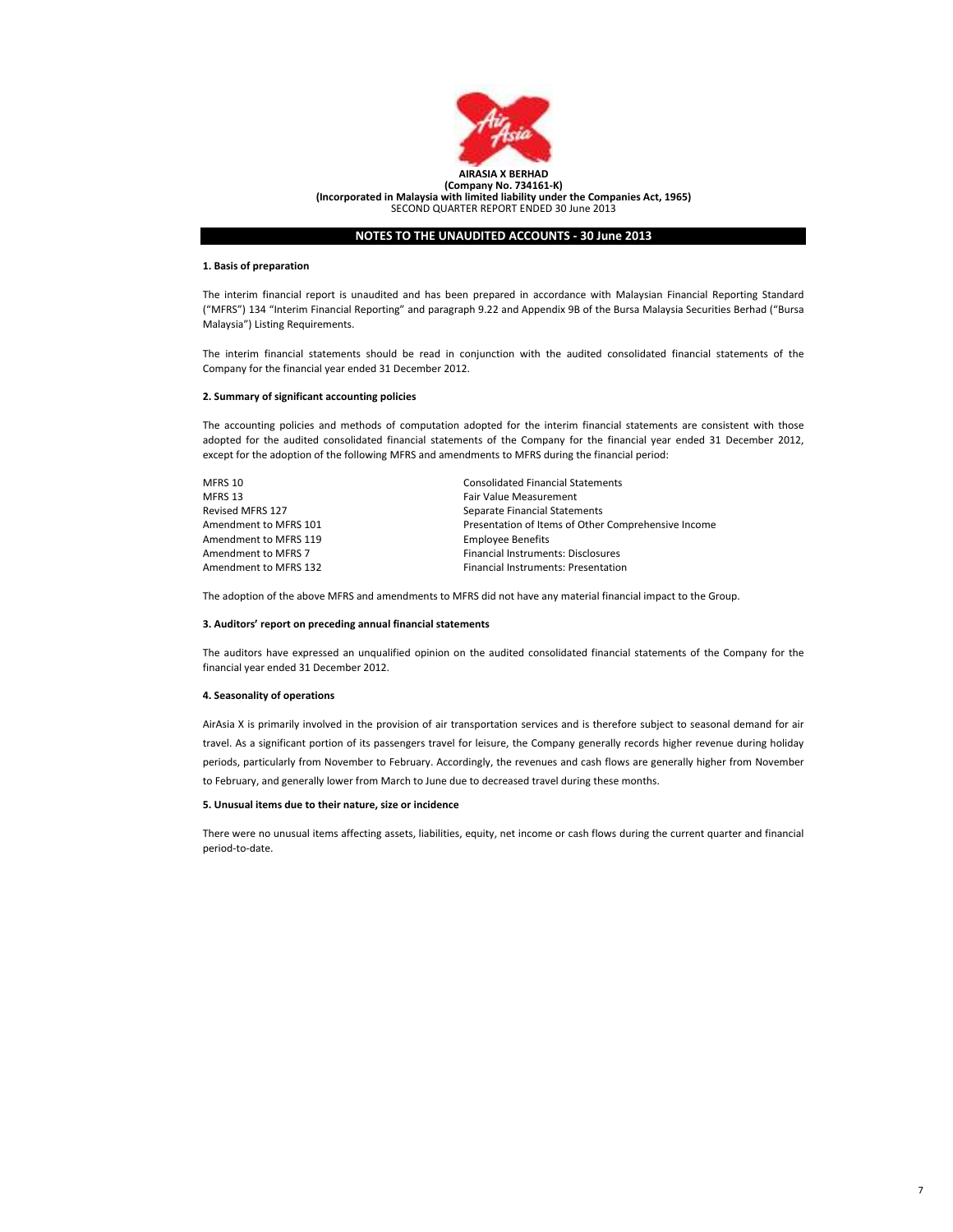

#### 1. Basis of preparation

The interim financial report is unaudited and has been prepared in accordance with Malaysian Financial Reporting Standard ("MFRS") 134 "Interim Financial Reporting" and paragraph 9.22 and Appendix 9B of the Bursa Malaysia Securities Berhad ("Bursa Malaysia") Listing Requirements.

The interim financial statements should be read in conjunction with the audited consolidated financial statements of the Company for the financial year ended 31 December 2012.

#### 2. Summary of significant accounting policies

The accounting policies and methods of computation adopted for the interim financial statements are consistent with those adopted for the audited consolidated financial statements of the Company for the financial year ended 31 December 2012, except for the adoption of the following MFRS and amendments to MFRS during the financial period:

| MFRS 10                 | <b>Consolidated Financial Statements</b>            |
|-------------------------|-----------------------------------------------------|
| MFRS 13                 | <b>Fair Value Measurement</b>                       |
| <b>Revised MFRS 127</b> | Separate Financial Statements                       |
| Amendment to MFRS 101   | Presentation of Items of Other Comprehensive Income |
| Amendment to MFRS 119   | <b>Employee Benefits</b>                            |
| Amendment to MFRS 7     | Financial Instruments: Disclosures                  |
| Amendment to MFRS 132   | <b>Financial Instruments: Presentation</b>          |

The adoption of the above MFRS and amendments to MFRS did not have any material financial impact to the Group.

# 3. Auditors' report on preceding annual financial statements

The auditors have expressed an unqualified opinion on the audited consolidated financial statements of the Company for the financial year ended 31 December 2012.

# 4. Seasonality of operations

AirAsia X is primarily involved in the provision of air transportation services and is therefore subject to seasonal demand for air travel. As a significant portion of its passengers travel for leisure, the Company generally records higher revenue during holiday periods, particularly from November to February. Accordingly, the revenues and cash flows are generally higher from November to February, and generally lower from March to June due to decreased travel during these months.

# 5. Unusual items due to their nature, size or incidence

There were no unusual items affecting assets, liabilities, equity, net income or cash flows during the current quarter and financial period-to-date.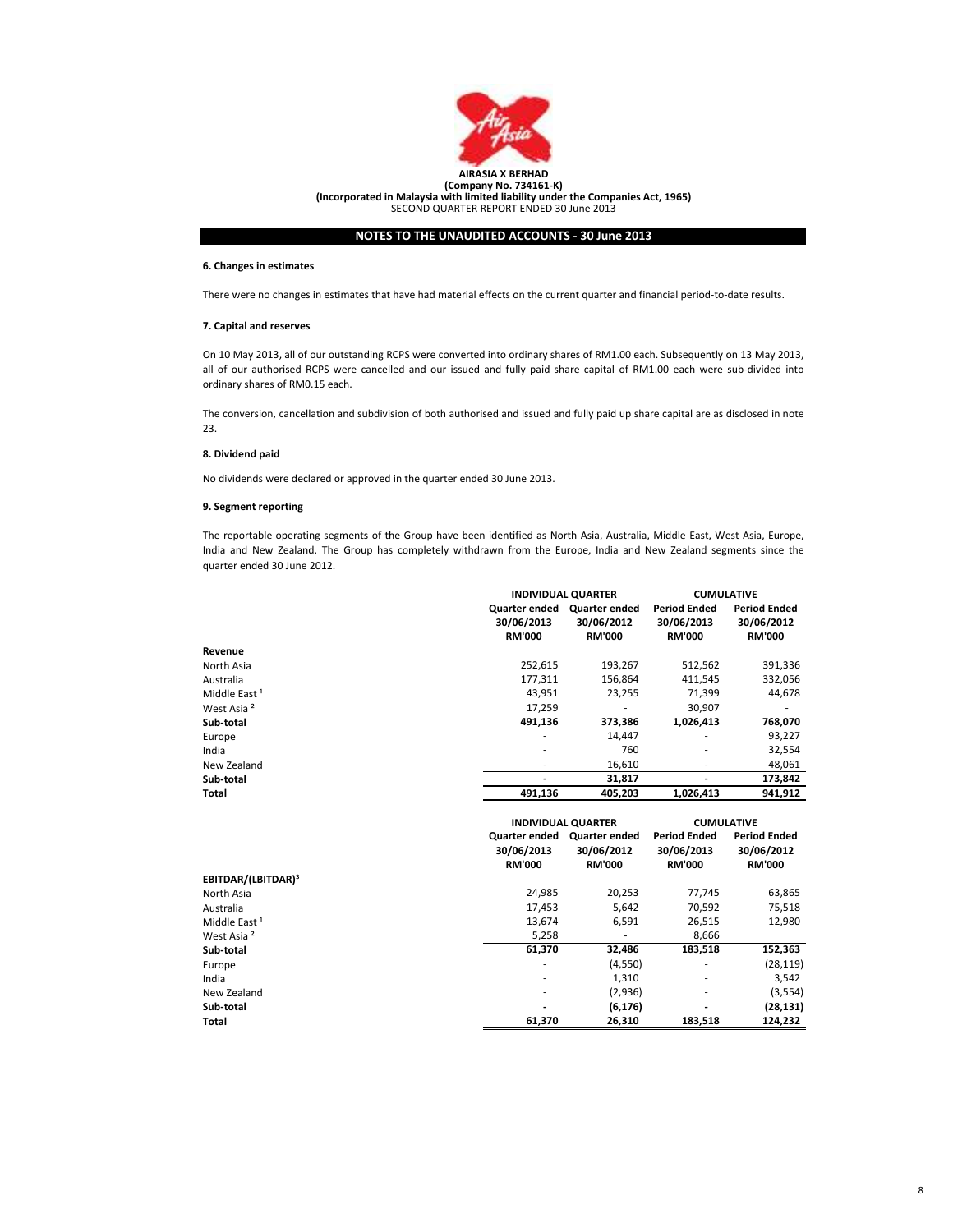

(Incorporated in Malaysia with limited liability under the Companies Act, 1965) SECOND QUARTER REPORT ENDED 30 June 2013

# NOTES TO THE UNAUDITED ACCOUNTS - 30 June 2013

# 6. Changes in estimates

There were no changes in estimates that have had material effects on the current quarter and financial period-to-date results.

# 7. Capital and reserves

On 10 May 2013, all of our outstanding RCPS were converted into ordinary shares of RM1.00 each. Subsequently on 13 May 2013, all of our authorised RCPS were cancelled and our issued and fully paid share capital of RM1.00 each were sub-divided into ordinary shares of RM0.15 each.

The conversion, cancellation and subdivision of both authorised and issued and fully paid up share capital are as disclosed in note 23.

# 8. Dividend paid

No dividends were declared or approved in the quarter ended 30 June 2013.

# 9. Segment reporting

The reportable operating segments of the Group have been identified as North Asia, Australia, Middle East, West Asia, Europe, India and New Zealand. The Group has completely withdrawn from the Europe, India and New Zealand segments since the quarter ended 30 June 2012.

|                                |                                                          | <b>INDIVIDUAL QUARTER</b>                    |                                                    | <b>CUMULATIVE</b>                                  |  |
|--------------------------------|----------------------------------------------------------|----------------------------------------------|----------------------------------------------------|----------------------------------------------------|--|
|                                | Quarter ended<br>30/06/2013<br><b>RM'000</b>             | Quarter ended<br>30/06/2012<br><b>RM'000</b> | <b>Period Ended</b><br>30/06/2013<br><b>RM'000</b> | <b>Period Ended</b><br>30/06/2012<br><b>RM'000</b> |  |
| Revenue                        |                                                          |                                              |                                                    |                                                    |  |
| North Asia                     | 252,615                                                  | 193,267                                      | 512,562                                            | 391,336                                            |  |
| Australia                      | 177,311                                                  | 156,864                                      | 411,545                                            | 332,056                                            |  |
| Middle East <sup>1</sup>       | 43,951                                                   | 23,255                                       | 71,399                                             | 44,678                                             |  |
| West Asia <sup>2</sup>         | 17,259                                                   |                                              | 30,907                                             |                                                    |  |
| Sub-total                      | 491,136                                                  | 373,386                                      | 1,026,413                                          | 768,070                                            |  |
| Europe                         |                                                          | 14,447                                       |                                                    | 93,227                                             |  |
| India                          |                                                          | 760                                          |                                                    | 32,554                                             |  |
| New Zealand                    | ٠                                                        | 16,610                                       |                                                    | 48,061                                             |  |
| Sub-total                      |                                                          | 31,817                                       |                                                    | 173,842                                            |  |
| <b>Total</b>                   | 491,136                                                  | 405,203                                      | 1,026,413                                          | 941,912                                            |  |
|                                | <b>INDIVIDUAL QUARTER</b><br>Quarter ended Quarter ended |                                              | <b>CUMULATIVE</b><br><b>Period Ended</b>           | <b>Period Ended</b>                                |  |
|                                | 30/06/2013<br><b>RM'000</b>                              | 30/06/2012<br><b>RM'000</b>                  | 30/06/2013<br><b>RM'000</b>                        | 30/06/2012<br><b>RM'000</b>                        |  |
| EBITDAR/(LBITDAR) <sup>3</sup> |                                                          |                                              |                                                    |                                                    |  |
| North Asia                     | 24,985                                                   | 20,253                                       | 77,745                                             | 63,865                                             |  |
| Australia                      | 17,453                                                   | 5,642                                        | 70,592                                             | 75,518                                             |  |
| Middle East <sup>1</sup>       | 13,674                                                   | 6,591                                        | 26,515                                             | 12,980                                             |  |
| West Asia <sup>2</sup>         | 5,258                                                    |                                              | 8,666                                              |                                                    |  |
| Sub-total                      | 61,370                                                   | 32,486                                       | 183,518                                            | 152,363                                            |  |
| Europe                         |                                                          | (4,550)                                      |                                                    | (28, 119)                                          |  |
| India                          |                                                          | 1,310                                        |                                                    | 3,542                                              |  |
| New Zealand                    |                                                          | (2,936)                                      |                                                    | (3, 554)                                           |  |
|                                |                                                          |                                              |                                                    |                                                    |  |
| Sub-total                      |                                                          | (6, 176)                                     |                                                    | (28, 131)                                          |  |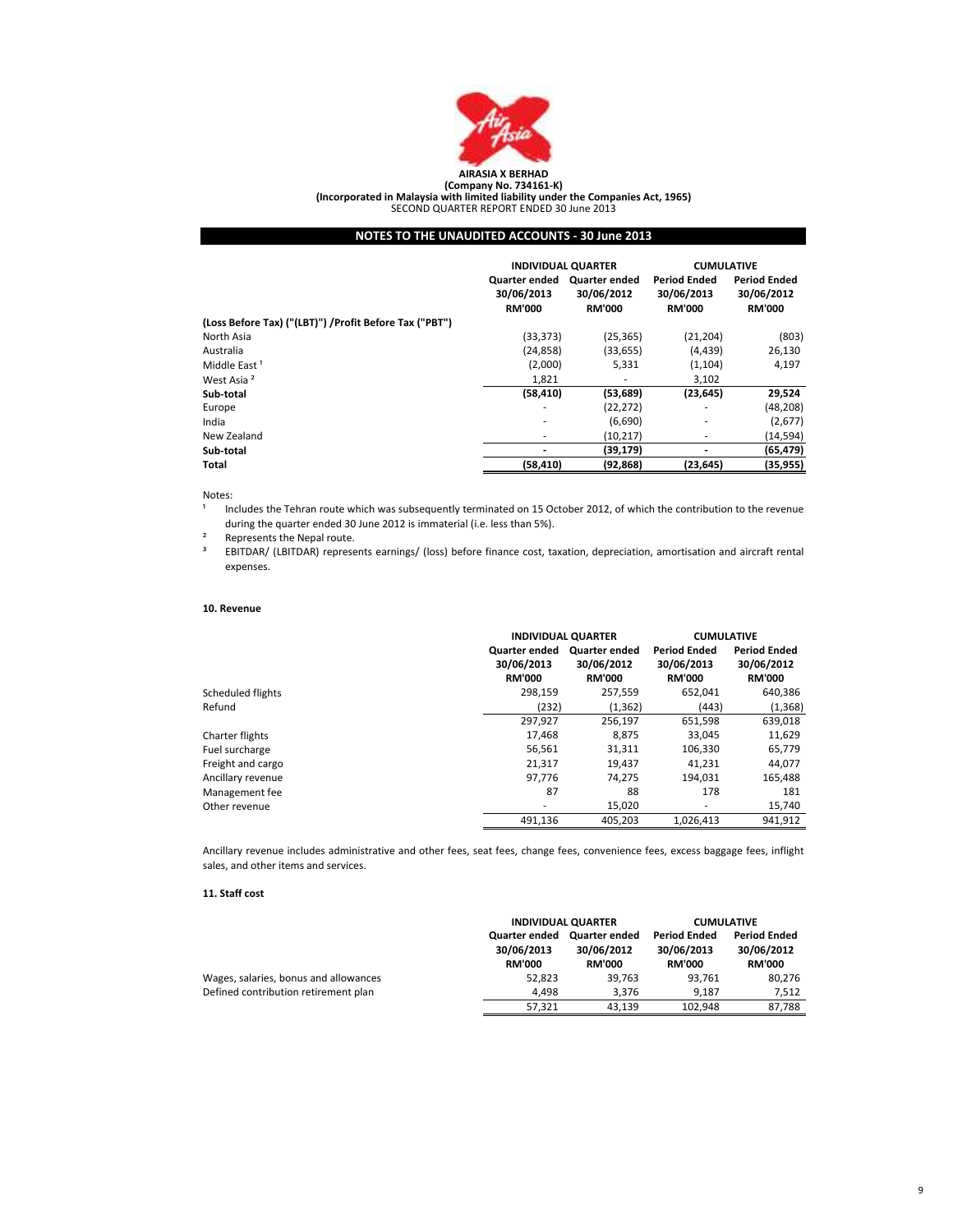

# AIRASIA X BERHAD (Company No. 734161-K) (Incorporated in Malaysia with limited liability under the Companies Act, 1965) SECOND QUARTER REPORT ENDED 30 June 2013

# NOTES TO THE UNAUDITED ACCOUNTS - 30 June 2013

|                                                        | <b>INDIVIDUAL QUARTER</b>                    |                                                     | <b>CUMULATIVE</b>                                  |                                                    |
|--------------------------------------------------------|----------------------------------------------|-----------------------------------------------------|----------------------------------------------------|----------------------------------------------------|
|                                                        | Quarter ended<br>30/06/2013<br><b>RM'000</b> | <b>Quarter ended</b><br>30/06/2012<br><b>RM'000</b> | <b>Period Ended</b><br>30/06/2013<br><b>RM'000</b> | <b>Period Ended</b><br>30/06/2012<br><b>RM'000</b> |
| (Loss Before Tax) ("(LBT)") /Profit Before Tax ("PBT") |                                              |                                                     |                                                    |                                                    |
| North Asia                                             | (33, 373)                                    | (25, 365)                                           | (21, 204)                                          | (803)                                              |
| Australia                                              | (24, 858)                                    | (33, 655)                                           | (4, 439)                                           | 26,130                                             |
| Middle East <sup>1</sup>                               | (2,000)                                      | 5,331                                               | (1, 104)                                           | 4,197                                              |
| West Asia <sup>2</sup>                                 | 1,821                                        | ۰                                                   | 3,102                                              |                                                    |
| Sub-total                                              | (58, 410)                                    | (53, 689)                                           | (23, 645)                                          | 29,524                                             |
| Europe                                                 | ٠                                            | (22,272)                                            | ٠                                                  | (48,208)                                           |
| India                                                  | ۰                                            | (6,690)                                             | ٠                                                  | (2,677)                                            |
| New Zealand                                            | ۰                                            | (10, 217)                                           | ٠                                                  | (14,594)                                           |
| Sub-total                                              |                                              | (39, 179)                                           | ٠                                                  | (65, 479)                                          |
| Total                                                  | (58, 410)                                    | (92, 868)                                           | (23, 645)                                          | (35, 955)                                          |

# Notes:

1 Includes the Tehran route which was subsequently terminated on 15 October 2012, of which the contribution to the revenue during the quarter ended 30 June 2012 is immaterial (i.e. less than 5%).

² Represents the Nepal route.

³ EBITDAR/ (LBITDAR) represents earnings/ (loss) before finance cost, taxation, depreciation, amortisation and aircraft rental expenses.

# 10. Revenue

|                   | <b>INDIVIDUAL QUARTER</b> |                      | <b>CUMULATIVE</b>   |                     |
|-------------------|---------------------------|----------------------|---------------------|---------------------|
|                   | <b>Quarter ended</b>      | <b>Quarter ended</b> | <b>Period Ended</b> | <b>Period Ended</b> |
|                   | 30/06/2013                | 30/06/2012           | 30/06/2013          | 30/06/2012          |
|                   | <b>RM'000</b>             | <b>RM'000</b>        | <b>RM'000</b>       | <b>RM'000</b>       |
| Scheduled flights | 298.159                   | 257,559              | 652,041             | 640,386             |
| Refund            | (232)                     | (1, 362)             | (443)               | (1, 368)            |
|                   | 297,927                   | 256,197              | 651,598             | 639,018             |
| Charter flights   | 17.468                    | 8.875                | 33.045              | 11,629              |
| Fuel surcharge    | 56,561                    | 31,311               | 106,330             | 65,779              |
| Freight and cargo | 21,317                    | 19,437               | 41,231              | 44,077              |
| Ancillary revenue | 97.776                    | 74.275               | 194.031             | 165,488             |
| Management fee    | 87                        | 88                   | 178                 | 181                 |
| Other revenue     |                           | 15,020               | ۰                   | 15,740              |
|                   | 491,136                   | 405,203              | 1.026.413           | 941.912             |

Ancillary revenue includes administrative and other fees, seat fees, change fees, convenience fees, excess baggage fees, inflight sales, and other items and services.

# 11. Staff cost

|                                       |                                              | <b>INDIVIDUAL QUARTER</b>                           |                                                    | <b>CUMULATIVE</b>                                  |
|---------------------------------------|----------------------------------------------|-----------------------------------------------------|----------------------------------------------------|----------------------------------------------------|
|                                       | Quarter ended<br>30/06/2013<br><b>RM'000</b> | <b>Quarter ended</b><br>30/06/2012<br><b>RM'000</b> | <b>Period Ended</b><br>30/06/2013<br><b>RM'000</b> | <b>Period Ended</b><br>30/06/2012<br><b>RM'000</b> |
| Wages, salaries, bonus and allowances | 52.823                                       | 39.763                                              | 93.761                                             | 80,276                                             |
| Defined contribution retirement plan  | 4.498                                        | 3.376                                               | 9.187                                              | 7.512                                              |
|                                       | 57.321                                       | 43.139                                              | 102.948                                            | 87.788                                             |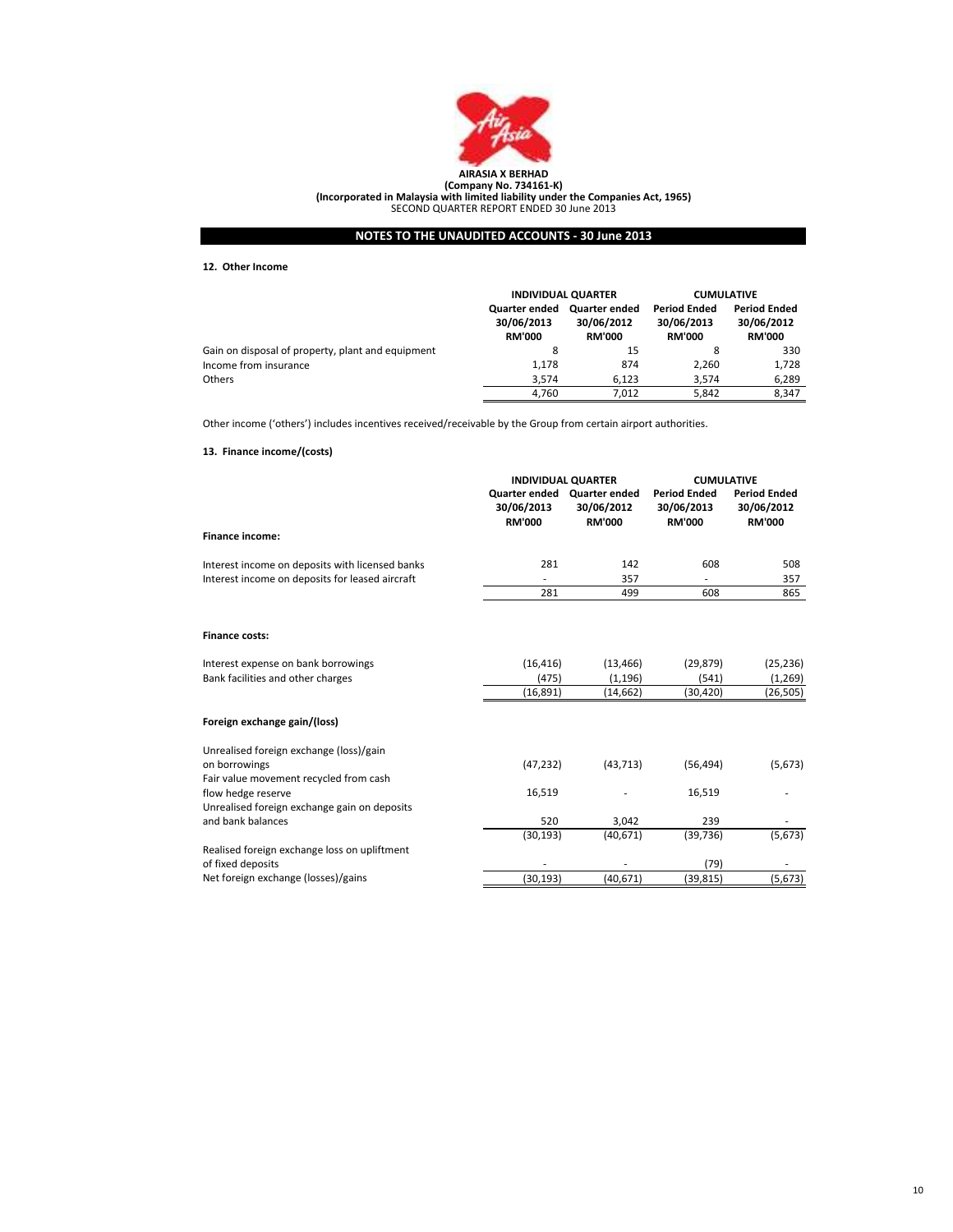

(Company No. 734161-K) (Incorporated in Malaysia with limited liability under the Companies Act, 1965) SECOND QUARTER REPORT ENDED 30 June 2013

NOTES TO THE UNAUDITED ACCOUNTS - 30 June 2013

12. Other Income

|                                                   | <b>INDIVIDUAL QUARTER</b>                    |                                                     | <b>CUMULATIVE</b>                                  |                                                    |
|---------------------------------------------------|----------------------------------------------|-----------------------------------------------------|----------------------------------------------------|----------------------------------------------------|
|                                                   | Quarter ended<br>30/06/2013<br><b>RM'000</b> | <b>Quarter ended</b><br>30/06/2012<br><b>RM'000</b> | <b>Period Ended</b><br>30/06/2013<br><b>RM'000</b> | <b>Period Ended</b><br>30/06/2012<br><b>RM'000</b> |
| Gain on disposal of property, plant and equipment | 8                                            | 15                                                  | 8                                                  | 330                                                |
| Income from insurance                             | 1.178                                        | 874                                                 | 2.260                                              | 1.728                                              |
| <b>Others</b>                                     | 3.574                                        | 6.123                                               | 3.574                                              | 6,289                                              |
|                                                   | 4.760                                        | 7.012                                               | 5.842                                              | 8.347                                              |

Other income ('others') includes incentives received/receivable by the Group from certain airport authorities.

# 13. Finance income/(costs)

|                                                 | <b>INDIVIDUAL QUARTER</b>   |                                                            | <b>CUMULATIVE</b>                                  |                                                    |
|-------------------------------------------------|-----------------------------|------------------------------------------------------------|----------------------------------------------------|----------------------------------------------------|
|                                                 | 30/06/2013<br><b>RM'000</b> | Quarter ended Quarter ended<br>30/06/2012<br><b>RM'000</b> | <b>Period Ended</b><br>30/06/2013<br><b>RM'000</b> | <b>Period Ended</b><br>30/06/2012<br><b>RM'000</b> |
| <b>Finance income:</b>                          |                             |                                                            |                                                    |                                                    |
| Interest income on deposits with licensed banks | 281                         | 142                                                        | 608                                                | 508                                                |
| Interest income on deposits for leased aircraft |                             | 357                                                        |                                                    | 357                                                |
|                                                 | 281                         | 499                                                        | 608                                                | 865                                                |
| <b>Finance costs:</b>                           |                             |                                                            |                                                    |                                                    |
| Interest expense on bank borrowings             | (16, 416)                   | (13, 466)                                                  | (29, 879)                                          | (25, 236)                                          |
| Bank facilities and other charges               | (475)                       | (1, 196)                                                   | (541)                                              | (1, 269)                                           |
|                                                 | (16, 891)                   | (14, 662)                                                  | (30, 420)                                          | (26, 505)                                          |
| Foreign exchange gain/(loss)                    |                             |                                                            |                                                    |                                                    |
| Unrealised foreign exchange (loss)/gain         |                             |                                                            |                                                    |                                                    |
| on borrowings                                   | (47, 232)                   | (43, 713)                                                  | (56, 494)                                          | (5,673)                                            |
| Fair value movement recycled from cash          |                             |                                                            |                                                    |                                                    |
| flow hedge reserve                              | 16,519                      |                                                            | 16,519                                             |                                                    |
| Unrealised foreign exchange gain on deposits    |                             |                                                            |                                                    |                                                    |
| and bank balances                               | 520                         | 3,042                                                      | 239                                                |                                                    |
|                                                 | (30, 193)                   | (40, 671)                                                  | (39, 736)                                          | (5, 673)                                           |
| Realised foreign exchange loss on upliftment    |                             |                                                            |                                                    |                                                    |
| of fixed deposits                               |                             |                                                            | (79)                                               |                                                    |
| Net foreign exchange (losses)/gains             | (30, 193)                   | (40, 671)                                                  | (39, 815)                                          | (5, 673)                                           |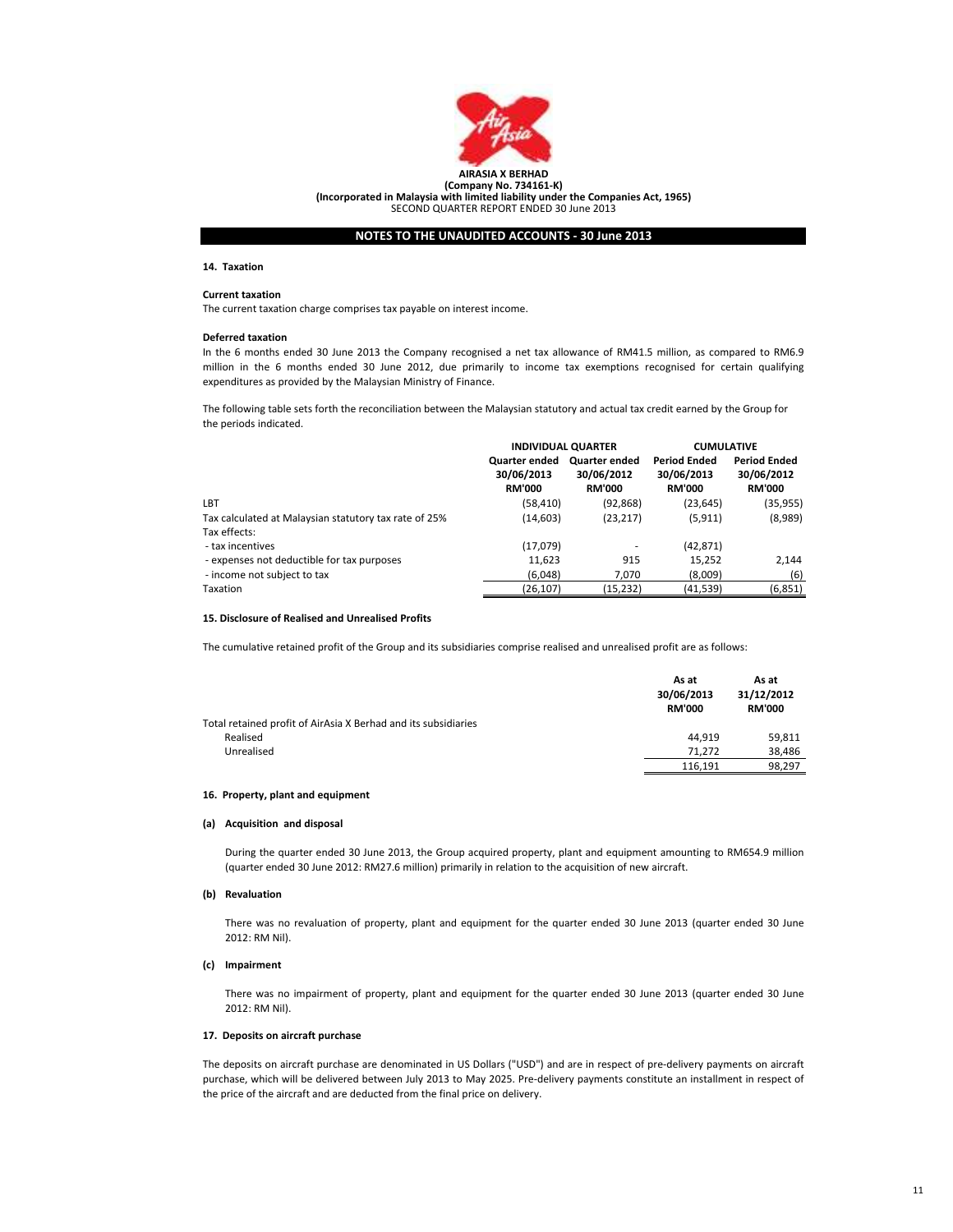

(Company No. 734161-K) (Incorporated in Malaysia with limited liability under the Companies Act, 1965) SECOND QUARTER REPORT ENDED 30 June 2013

NOTES TO THE UNAUDITED ACCOUNTS - 30 June 2013

### 14. Taxation

# Current taxation

The current taxation charge comprises tax payable on interest income.

#### Deferred taxation

In the 6 months ended 30 June 2013 the Company recognised a net tax allowance of RM41.5 million, as compared to RM6.9 million in the 6 months ended 30 June 2012, due primarily to income tax exemptions recognised for certain qualifying expenditures as provided by the Malaysian Ministry of Finance.

The following table sets forth the reconciliation between the Malaysian statutory and actual tax credit earned by the Group for the periods indicated.

|                                                                       | <b>INDIVIDUAL QUARTER</b>                           |                                                     | <b>CUMULATIVE</b>                                  |                                                    |
|-----------------------------------------------------------------------|-----------------------------------------------------|-----------------------------------------------------|----------------------------------------------------|----------------------------------------------------|
|                                                                       | <b>Quarter ended</b><br>30/06/2013<br><b>RM'000</b> | <b>Quarter ended</b><br>30/06/2012<br><b>RM'000</b> | <b>Period Ended</b><br>30/06/2013<br><b>RM'000</b> | <b>Period Ended</b><br>30/06/2012<br><b>RM'000</b> |
| LBT                                                                   | (58, 410)                                           | (92, 868)                                           | (23, 645)                                          | (35, 955)                                          |
| Tax calculated at Malaysian statutory tax rate of 25%<br>Tax effects: | (14, 603)                                           | (23, 217)                                           | (5, 911)                                           | (8,989)                                            |
| - tax incentives                                                      | (17,079)                                            |                                                     | (42, 871)                                          |                                                    |
| - expenses not deductible for tax purposes                            | 11,623                                              | 915                                                 | 15,252                                             | 2.144                                              |
| - income not subject to tax                                           | (6,048)                                             | 7,070                                               | (8,009)                                            | (6)                                                |
| Taxation                                                              | (26, 107)                                           | (15, 232)                                           | (41, 539)                                          | (6, 851)                                           |

#### 15. Disclosure of Realised and Unrealised Profits

The cumulative retained profit of the Group and its subsidiaries comprise realised and unrealised profit are as follows:

|                                                                | As at<br>30/06/2013<br><b>RM'000</b> | As at<br>31/12/2012<br><b>RM'000</b> |
|----------------------------------------------------------------|--------------------------------------|--------------------------------------|
| Total retained profit of AirAsia X Berhad and its subsidiaries |                                      |                                      |
| Realised                                                       | 44.919                               | 59,811                               |
| Unrealised                                                     | 71.272                               | 38,486                               |
|                                                                | 116.191                              | 98.297                               |

#### 16. Property, plant and equipment

#### (a) Acquisition and disposal

During the quarter ended 30 June 2013, the Group acquired property, plant and equipment amounting to RM654.9 million (quarter ended 30 June 2012: RM27.6 million) primarily in relation to the acquisition of new aircraft.

#### (b) Revaluation

There was no revaluation of property, plant and equipment for the quarter ended 30 June 2013 (quarter ended 30 June 2012: RM Nil).

# (c) Impairment

There was no impairment of property, plant and equipment for the quarter ended 30 June 2013 (quarter ended 30 June 2012: RM Nil).

# 17. Deposits on aircraft purchase

The deposits on aircraft purchase are denominated in US Dollars ("USD") and are in respect of pre-delivery payments on aircraft purchase, which will be delivered between July 2013 to May 2025. Pre-delivery payments constitute an installment in respect of the price of the aircraft and are deducted from the final price on delivery.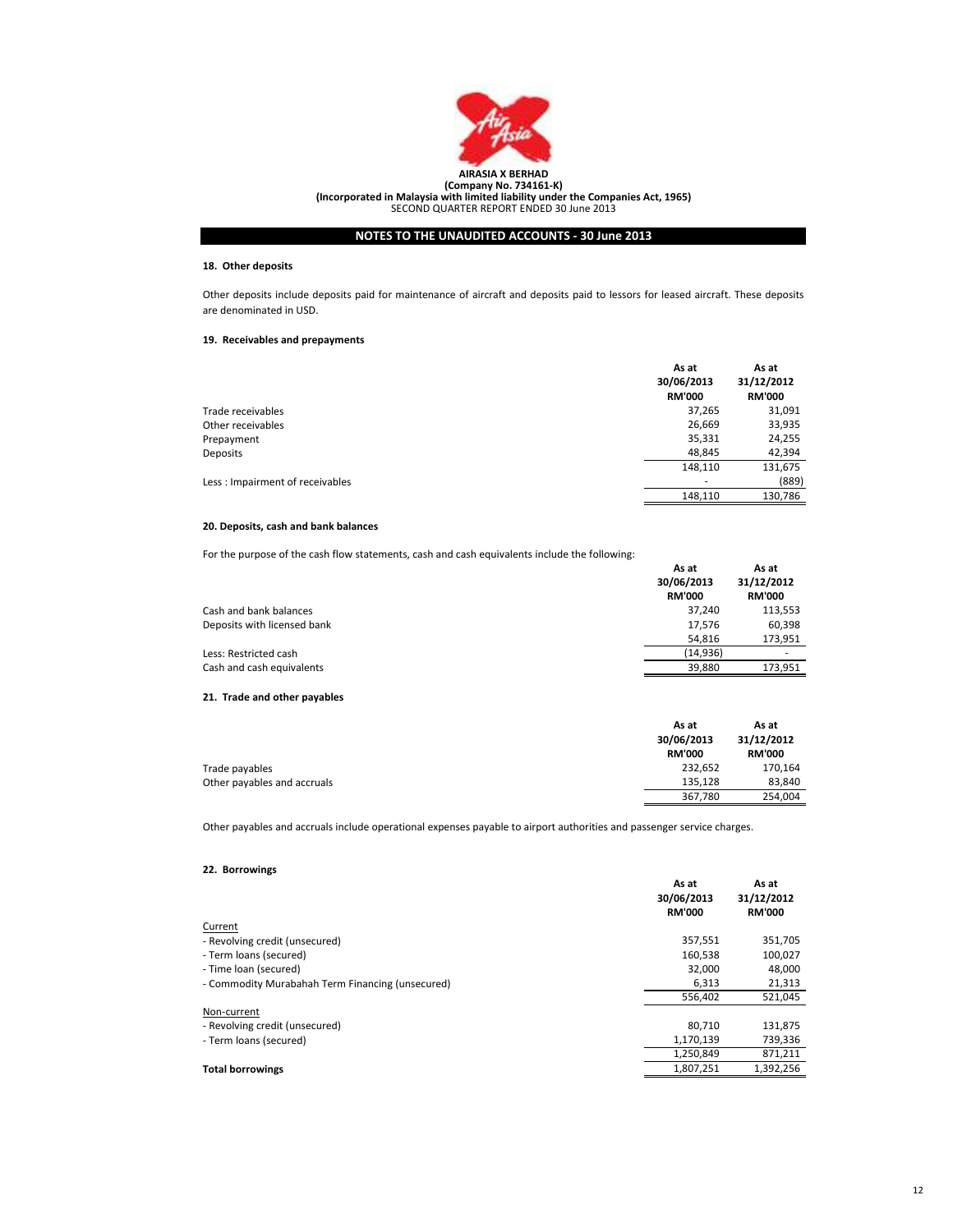

# 18. Other deposits

Other deposits include deposits paid for maintenance of aircraft and deposits paid to lessors for leased aircraft. These deposits are denominated in USD.

# 19. Receivables and prepayments

|                                 | As at<br>30/06/2013<br><b>RM'000</b> | As at<br>31/12/2012<br><b>RM'000</b> |
|---------------------------------|--------------------------------------|--------------------------------------|
| Trade receivables               | 37,265                               | 31,091                               |
| Other receivables               | 26,669                               | 33,935                               |
| Prepayment                      | 35,331                               | 24,255                               |
| <b>Deposits</b>                 | 48,845                               | 42,394                               |
|                                 | 148,110                              | 131,675                              |
| Less: Impairment of receivables | ۰                                    | (889)                                |
|                                 | 148,110                              | 130,786                              |

# 20. Deposits, cash and bank balances

For the purpose of the cash flow statements, cash and cash equivalents include the following:

|                             | As at<br>30/06/2013<br><b>RM'000</b> | As at<br>31/12/2012<br><b>RM'000</b> |
|-----------------------------|--------------------------------------|--------------------------------------|
| Cash and bank balances      | 37.240                               | 113,553                              |
| Deposits with licensed bank | 17,576                               | 60,398                               |
|                             | 54.816                               | 173,951                              |
| Less: Restricted cash       | (14, 936)                            |                                      |
| Cash and cash equivalents   | 39.880                               | 173.951                              |

# 21. Trade and other payables

|                             | As at<br>30/06/2013<br><b>RM'000</b> | As at<br>31/12/2012<br><b>RM'000</b> |
|-----------------------------|--------------------------------------|--------------------------------------|
| Trade payables              | 232.652                              | 170.164                              |
| Other payables and accruals | 135.128                              | 83,840                               |
|                             | 367,780                              | 254,004                              |

Other payables and accruals include operational expenses payable to airport authorities and passenger service charges.

# 22. Borrowings

|                                                  | As at<br>30/06/2013<br><b>RM'000</b> | As at<br>31/12/2012<br><b>RM'000</b> |
|--------------------------------------------------|--------------------------------------|--------------------------------------|
| Current                                          |                                      |                                      |
| - Revolving credit (unsecured)                   | 357,551                              | 351,705                              |
| - Term loans (secured)                           | 160,538                              | 100,027                              |
| - Time loan (secured)                            | 32.000                               | 48,000                               |
| - Commodity Murabahah Term Financing (unsecured) | 6,313                                | 21,313                               |
|                                                  | 556,402                              | 521,045                              |
| Non-current                                      |                                      |                                      |
| - Revolving credit (unsecured)                   | 80,710                               | 131,875                              |
| - Term loans (secured)                           | 1,170,139                            | 739,336                              |
|                                                  | 1,250,849                            | 871,211                              |
| <b>Total borrowings</b>                          | 1,807,251                            | 1,392,256                            |
|                                                  |                                      |                                      |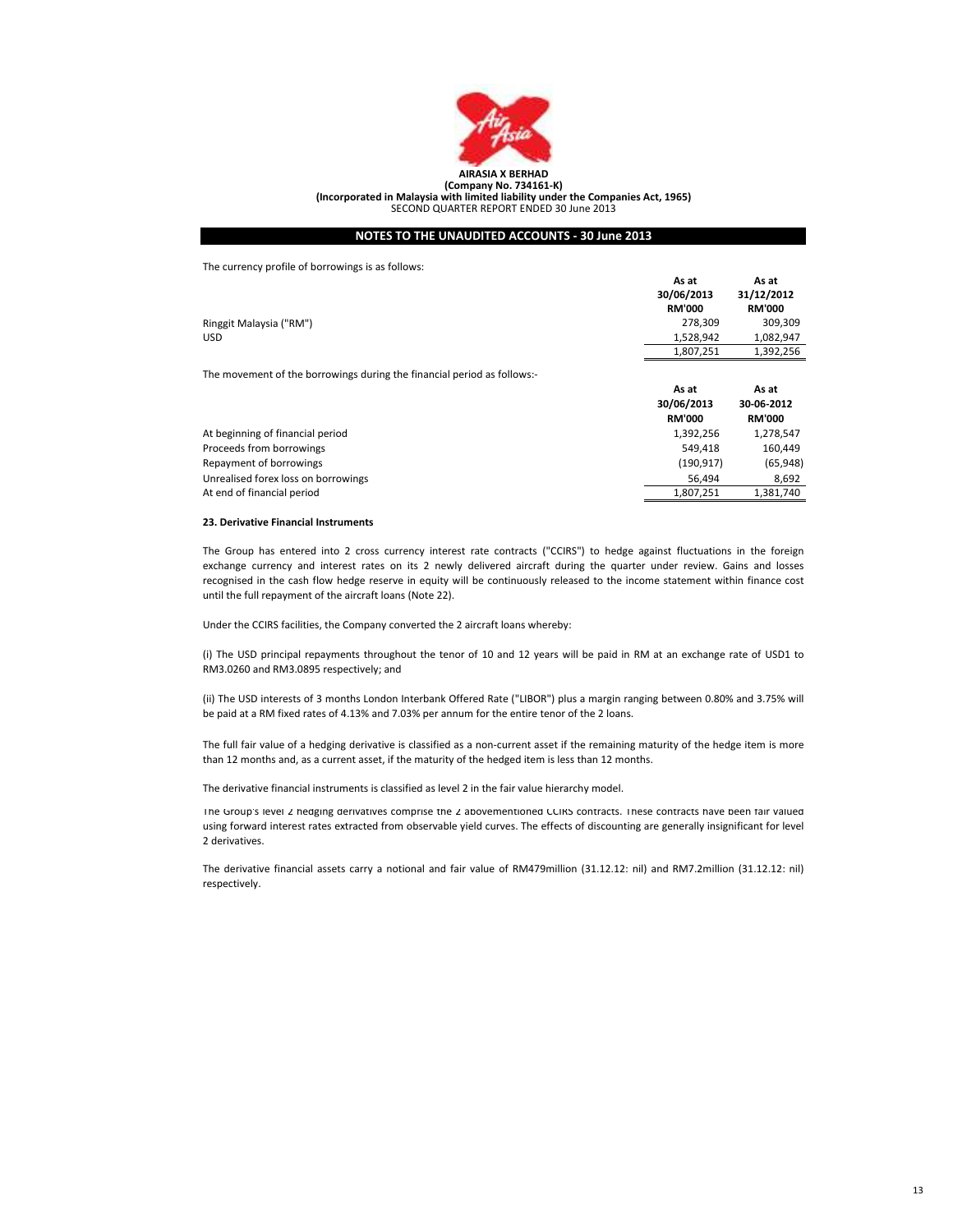

The currency profile of borrowings is as follows:

|                                                                         | As at         | As at         |
|-------------------------------------------------------------------------|---------------|---------------|
|                                                                         | 30/06/2013    | 31/12/2012    |
|                                                                         | <b>RM'000</b> | <b>RM'000</b> |
| Ringgit Malaysia ("RM")                                                 | 278.309       | 309,309       |
| <b>USD</b>                                                              | 1,528,942     | 1,082,947     |
|                                                                         | 1,807,251     | 1,392,256     |
| The movement of the borrowings during the financial period as follows:- |               |               |
|                                                                         | As at         | As at         |
|                                                                         | 30/06/2013    | 30-06-2012    |
|                                                                         | <b>RM'000</b> | <b>RM'000</b> |
| At beginning of financial period                                        | 1,392,256     | 1,278,547     |
| Proceeds from borrowings                                                | 549.418       | 160,449       |
| Repayment of borrowings                                                 | (190, 917)    | (65, 948)     |
| Unrealised forex loss on borrowings                                     | 56.494        | 8.692         |

#### 23. Derivative Financial Instruments

At end of financial period

The Group has entered into 2 cross currency interest rate contracts ("CCIRS") to hedge against fluctuations in the foreign exchange currency and interest rates on its 2 newly delivered aircraft during the quarter under review. Gains and losses recognised in the cash flow hedge reserve in equity will be continuously released to the income statement within finance cost until the full repayment of the aircraft loans (Note 22).

1,807,251

1,381,740

Under the CCIRS facilities, the Company converted the 2 aircraft loans whereby:

(i) The USD principal repayments throughout the tenor of 10 and 12 years will be paid in RM at an exchange rate of USD1 to RM3.0260 and RM3.0895 respectively; and

(ii) The USD interests of 3 months London Interbank Offered Rate ("LIBOR") plus a margin ranging between 0.80% and 3.75% will be paid at a RM fixed rates of 4.13% and 7.03% per annum for the entire tenor of the 2 loans.

The full fair value of a hedging derivative is classified as a non-current asset if the remaining maturity of the hedge item is more than 12 months and, as a current asset, if the maturity of the hedged item is less than 12 months.

The derivative financial instruments is classified as level 2 in the fair value hierarchy model.

The Group's level 2 hedging derivatives comprise the 2 abovementioned CCIRS contracts. These contracts have been fair valued using forward interest rates extracted from observable yield curves. The effects of discounting are generally insignificant for level 2 derivatives.

The derivative financial assets carry a notional and fair value of RM479million (31.12.12: nil) and RM7.2million (31.12.12: nil) respectively.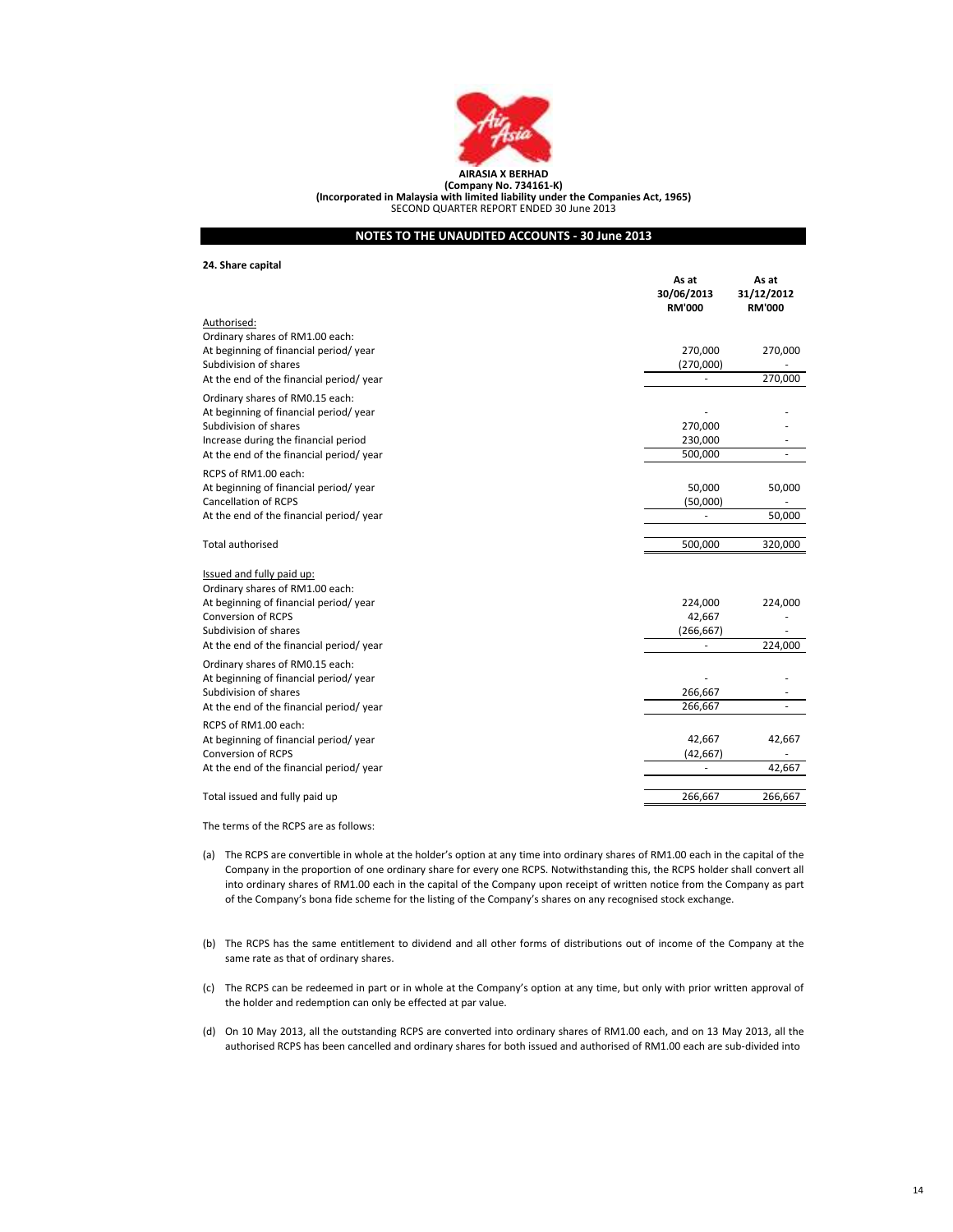

#### AIRASIA X BERHAD (Company No. 734161-K) (Incorporated in Malaysia with limited liability under the Companies Act, 1965) SECOND QUARTER REPORT ENDED 30 June 2013

# NOTES TO THE UNAUDITED ACCOUNTS - 30 June 2013

# 24. Share capital

|                                                                                 | As at<br>30/06/2013<br><b>RM'000</b> | As at<br>31/12/2012<br><b>RM'000</b> |
|---------------------------------------------------------------------------------|--------------------------------------|--------------------------------------|
| Authorised:                                                                     |                                      |                                      |
| Ordinary shares of RM1.00 each:                                                 |                                      |                                      |
| At beginning of financial period/year                                           | 270,000                              | 270,000                              |
| Subdivision of shares                                                           | (270,000)                            | 270,000                              |
| At the end of the financial period/year                                         |                                      |                                      |
| Ordinary shares of RM0.15 each:                                                 |                                      |                                      |
| At beginning of financial period/year                                           |                                      |                                      |
| Subdivision of shares                                                           | 270,000<br>230,000                   |                                      |
| Increase during the financial period<br>At the end of the financial period/year | 500,000                              |                                      |
|                                                                                 |                                      |                                      |
| RCPS of RM1.00 each:                                                            |                                      |                                      |
| At beginning of financial period/vear                                           | 50,000                               | 50,000                               |
| <b>Cancellation of RCPS</b>                                                     | (50,000)                             |                                      |
| At the end of the financial period/year                                         |                                      | 50,000                               |
| Total authorised                                                                | 500,000                              | 320,000                              |
| Issued and fully paid up:                                                       |                                      |                                      |
| Ordinary shares of RM1.00 each:                                                 |                                      |                                      |
| At beginning of financial period/year                                           | 224,000                              | 224,000                              |
| Conversion of RCPS                                                              | 42,667                               |                                      |
| Subdivision of shares                                                           | (266, 667)                           |                                      |
| At the end of the financial period/year                                         |                                      | 224,000                              |
| Ordinary shares of RM0.15 each:                                                 |                                      |                                      |
| At beginning of financial period/year                                           |                                      |                                      |
| Subdivision of shares                                                           | 266,667                              |                                      |
| At the end of the financial period/year                                         | 266,667                              |                                      |
| RCPS of RM1.00 each:                                                            |                                      |                                      |
| At beginning of financial period/year                                           | 42,667                               | 42,667                               |
| Conversion of RCPS                                                              | (42, 667)                            |                                      |
| At the end of the financial period/year                                         | ä,                                   | 42,667                               |
|                                                                                 |                                      |                                      |
| Total issued and fully paid up                                                  | 266,667                              | 266,667                              |
|                                                                                 |                                      |                                      |

The terms of the RCPS are as follows:

- (a) The RCPS are convertible in whole at the holder's option at any time into ordinary shares of RM1.00 each in the capital of the Company in the proportion of one ordinary share for every one RCPS. Notwithstanding this, the RCPS holder shall convert all into ordinary shares of RM1.00 each in the capital of the Company upon receipt of written notice from the Company as part of the Company's bona fide scheme for the listing of the Company's shares on any recognised stock exchange.
- (b) The RCPS has the same entitlement to dividend and all other forms of distributions out of income of the Company at the same rate as that of ordinary shares.
- (c) The RCPS can be redeemed in part or in whole at the Company's option at any time, but only with prior written approval of the holder and redemption can only be effected at par value.
- (d) On 10 May 2013, all the outstanding RCPS are converted into ordinary shares of RM1.00 each, and on 13 May 2013, all the authorised RCPS has been cancelled and ordinary shares for both issued and authorised of RM1.00 each are sub-divided into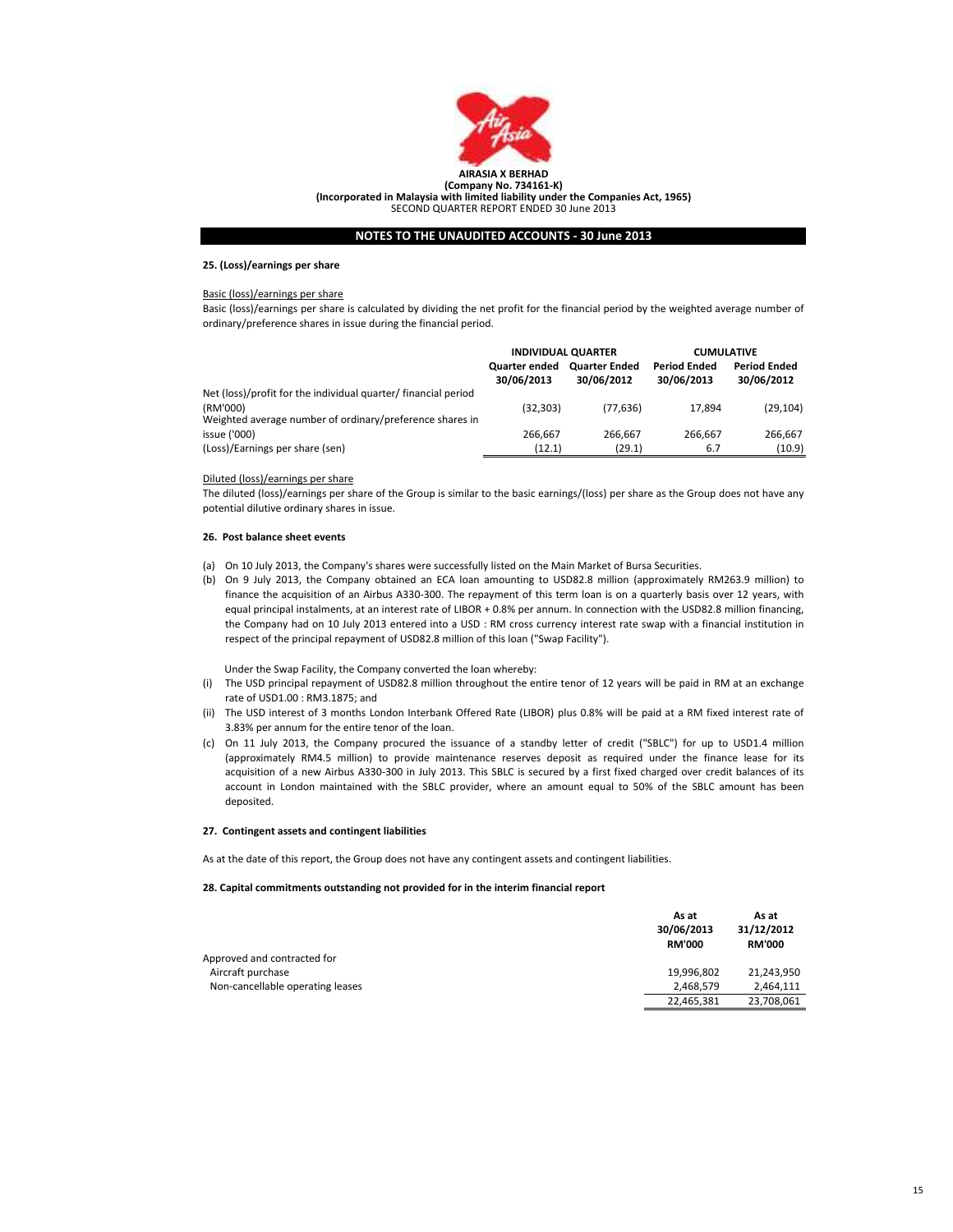

(Incorporated in Malaysia with limited liability under the Companies Act, 1965)

SECOND QUARTER REPORT ENDED 30 June 2013

# NOTES TO THE UNAUDITED ACCOUNTS - 30 June 2013

#### 25. (Loss)/earnings per share

# Basic (loss)/earnings per share

Basic (loss)/earnings per share is calculated by dividing the net profit for the financial period by the weighted average number of ordinary/preference shares in issue during the financial period.

|                                                                      | <b>INDIVIDUAL QUARTER</b>   |                                    | <b>CUMULATIVE</b>                 |                                   |
|----------------------------------------------------------------------|-----------------------------|------------------------------------|-----------------------------------|-----------------------------------|
|                                                                      | Quarter ended<br>30/06/2013 | <b>Quarter Ended</b><br>30/06/2012 | <b>Period Ended</b><br>30/06/2013 | <b>Period Ended</b><br>30/06/2012 |
| Net (loss)/profit for the individual quarter/ financial period       |                             |                                    |                                   |                                   |
| (RM'000)<br>Weighted average number of ordinary/preference shares in | (32, 303)                   | (77, 636)                          | 17.894                            | (29, 104)                         |
| issue ('000)                                                         | 266.667                     | 266.667                            | 266.667                           | 266,667                           |
| (Loss)/Earnings per share (sen)                                      | (12.1)                      | (29.1)                             | 6.7                               | (10.9)                            |

# Diluted (loss)/earnings per share

The diluted (loss)/earnings per share of the Group is similar to the basic earnings/(loss) per share as the Group does not have any potential dilutive ordinary shares in issue.

# 26. Post balance sheet events

- (a) On 10 July 2013, the Company's shares were successfully listed on the Main Market of Bursa Securities.
- (b) On 9 July 2013, the Company obtained an ECA loan amounting to USD82.8 million (approximately RM263.9 million) to finance the acquisition of an Airbus A330-300. The repayment of this term loan is on a quarterly basis over 12 years, with equal principal instalments, at an interest rate of LIBOR + 0.8% per annum. In connection with the USD82.8 million financing, the Company had on 10 July 2013 entered into a USD : RM cross currency interest rate swap with a financial institution in respect of the principal repayment of USD82.8 million of this loan ("Swap Facility").

Under the Swap Facility, the Company converted the loan whereby:

- (i) The USD principal repayment of USD82.8 million throughout the entire tenor of 12 years will be paid in RM at an exchange rate of USD1.00 : RM3.1875; and
- (ii) The USD interest of 3 months London Interbank Offered Rate (LIBOR) plus 0.8% will be paid at a RM fixed interest rate of 3.83% per annum for the entire tenor of the loan.
- (c) On 11 July 2013, the Company procured the issuance of a standby letter of credit ("SBLC") for up to USD1.4 million (approximately RM4.5 million) to provide maintenance reserves deposit as required under the finance lease for its acquisition of a new Airbus A330-300 in July 2013. This SBLC is secured by a first fixed charged over credit balances of its account in London maintained with the SBLC provider, where an amount equal to 50% of the SBLC amount has been deposited.

#### 27. Contingent assets and contingent liabilities

As at the date of this report, the Group does not have any contingent assets and contingent liabilities.

# 28. Capital commitments outstanding not provided for in the interim financial report

|                                  | As at<br>30/06/2013<br><b>RM'000</b> | As at<br>31/12/2012<br><b>RM'000</b> |
|----------------------------------|--------------------------------------|--------------------------------------|
| Approved and contracted for      |                                      |                                      |
| Aircraft purchase                | 19,996,802                           | 21,243,950                           |
| Non-cancellable operating leases | 2,468,579                            | 2,464,111                            |
|                                  | 22,465,381                           | 23,708,061                           |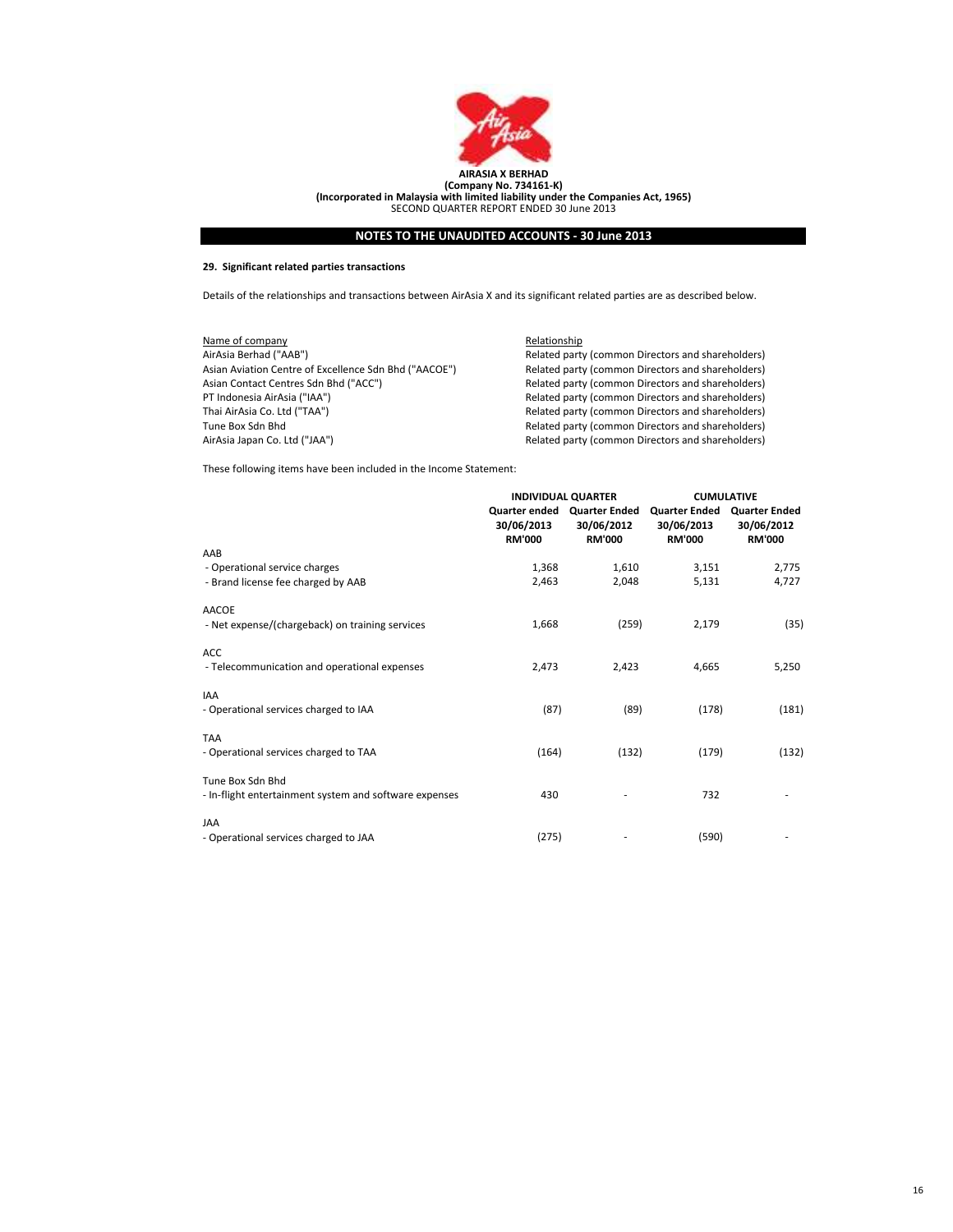

# 29. Significant related parties transactions

Details of the relationships and transactions between AirAsia X and its significant related parties are as described below.

| Name of company                                       | Relationship                                      |
|-------------------------------------------------------|---------------------------------------------------|
| AirAsia Berhad ("AAB")                                | Related party (common Directors and shareholders) |
| Asian Aviation Centre of Excellence Sdn Bhd ("AACOE") | Related party (common Directors and shareholders) |
| Asian Contact Centres Sdn Bhd ("ACC")                 | Related party (common Directors and shareholders) |
| PT Indonesia AirAsia ("IAA")                          | Related party (common Directors and shareholders) |
| Thai AirAsia Co. Ltd ("TAA")                          | Related party (common Directors and shareholders) |
| Tune Box Sdn Bhd                                      | Related party (common Directors and shareholders) |
| AirAsia Japan Co. Ltd ("JAA")                         | Related party (common Directors and shareholders) |

These following items have been included in the Income Statement:

|                                                        |                             | <b>INDIVIDUAL QUARTER</b>                                  | <b>CUMULATIVE</b>                                   |                                                     |
|--------------------------------------------------------|-----------------------------|------------------------------------------------------------|-----------------------------------------------------|-----------------------------------------------------|
|                                                        | 30/06/2013<br><b>RM'000</b> | Quarter ended Quarter Ended<br>30/06/2012<br><b>RM'000</b> | <b>Quarter Ended</b><br>30/06/2013<br><b>RM'000</b> | <b>Quarter Ended</b><br>30/06/2012<br><b>RM'000</b> |
| AAB                                                    |                             |                                                            |                                                     |                                                     |
| - Operational service charges                          | 1,368                       | 1,610                                                      | 3,151                                               | 2,775                                               |
| - Brand license fee charged by AAB                     | 2,463                       | 2,048                                                      | 5,131                                               | 4,727                                               |
| <b>AACOE</b>                                           |                             |                                                            |                                                     |                                                     |
| - Net expense/(chargeback) on training services        | 1,668                       | (259)                                                      | 2,179                                               | (35)                                                |
| ACC                                                    |                             |                                                            |                                                     |                                                     |
| - Telecommunication and operational expenses           | 2,473                       | 2,423                                                      | 4,665                                               | 5,250                                               |
| <b>IAA</b>                                             |                             |                                                            |                                                     |                                                     |
| - Operational services charged to IAA                  | (87)                        | (89)                                                       | (178)                                               | (181)                                               |
| <b>TAA</b>                                             |                             |                                                            |                                                     |                                                     |
| - Operational services charged to TAA                  | (164)                       | (132)                                                      | (179)                                               | (132)                                               |
| Tune Box Sdn Bhd                                       |                             |                                                            |                                                     |                                                     |
| - In-flight entertainment system and software expenses | 430                         |                                                            | 732                                                 |                                                     |
| <b>JAA</b>                                             |                             |                                                            |                                                     |                                                     |
| - Operational services charged to JAA                  | (275)                       |                                                            | (590)                                               |                                                     |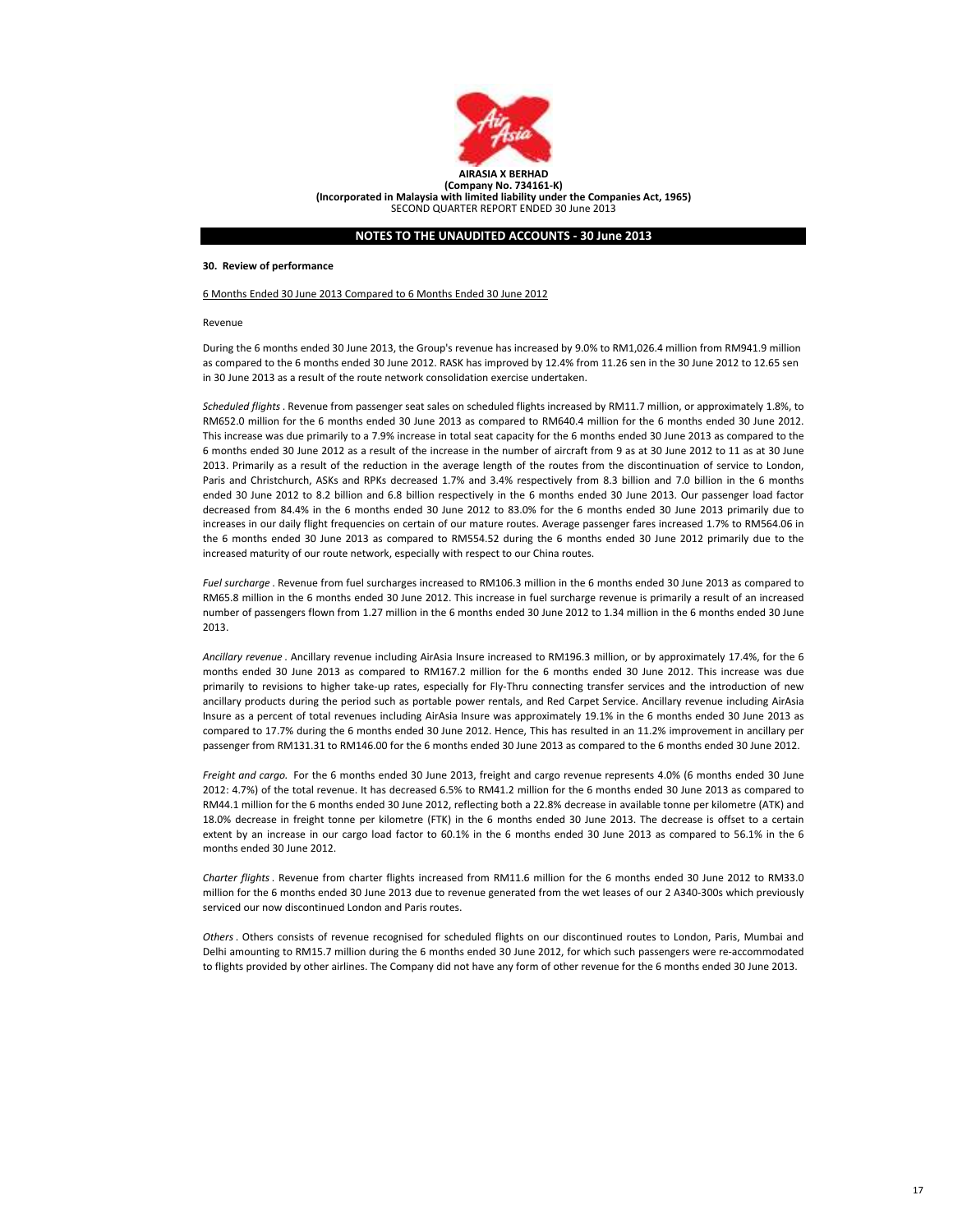

(Incorporated in Malaysia with limited liability under the Companies Act, 1965) SECOND QUARTER REPORT ENDED 30 June 2013

# NOTES TO THE UNAUDITED ACCOUNTS - 30 June 2013

#### 30. Review of performance

#### 6 Months Ended 30 June 2013 Compared to 6 Months Ended 30 June 2012

#### Revenue

During the 6 months ended 30 June 2013, the Group's revenue has increased by 9.0% to RM1,026.4 million from RM941.9 million as compared to the 6 months ended 30 June 2012. RASK has improved by 12.4% from 11.26 sen in the 30 June 2012 to 12.65 sen in 30 June 2013 as a result of the route network consolidation exercise undertaken.

Scheduled flights. Revenue from passenger seat sales on scheduled flights increased by RM11.7 million, or approximately 1.8%, to RM652.0 million for the 6 months ended 30 June 2013 as compared to RM640.4 million for the 6 months ended 30 June 2012. This increase was due primarily to a 7.9% increase in total seat capacity for the 6 months ended 30 June 2013 as compared to the 6 months ended 30 June 2012 as a result of the increase in the number of aircraft from 9 as at 30 June 2012 to 11 as at 30 June 2013. Primarily as a result of the reduction in the average length of the routes from the discontinuation of service to London, Paris and Christchurch, ASKs and RPKs decreased 1.7% and 3.4% respectively from 8.3 billion and 7.0 billion in the 6 months ended 30 June 2012 to 8.2 billion and 6.8 billion respectively in the 6 months ended 30 June 2013. Our passenger load factor decreased from 84.4% in the 6 months ended 30 June 2012 to 83.0% for the 6 months ended 30 June 2013 primarily due to increases in our daily flight frequencies on certain of our mature routes. Average passenger fares increased 1.7% to RM564.06 in the 6 months ended 30 June 2013 as compared to RM554.52 during the 6 months ended 30 June 2012 primarily due to the increased maturity of our route network, especially with respect to our China routes.

Fuel surcharge . Revenue from fuel surcharges increased to RM106.3 million in the 6 months ended 30 June 2013 as compared to RM65.8 million in the 6 months ended 30 June 2012. This increase in fuel surcharge revenue is primarily a result of an increased number of passengers flown from 1.27 million in the 6 months ended 30 June 2012 to 1.34 million in the 6 months ended 30 June 2013.

Ancillary revenue . Ancillary revenue including AirAsia Insure increased to RM196.3 million, or by approximately 17.4%, for the 6 months ended 30 June 2013 as compared to RM167.2 million for the 6 months ended 30 June 2012. This increase was due primarily to revisions to higher take-up rates, especially for Fly-Thru connecting transfer services and the introduction of new ancillary products during the period such as portable power rentals, and Red Carpet Service. Ancillary revenue including AirAsia Insure as a percent of total revenues including AirAsia Insure was approximately 19.1% in the 6 months ended 30 June 2013 as compared to 17.7% during the 6 months ended 30 June 2012. Hence, This has resulted in an 11.2% improvement in ancillary per passenger from RM131.31 to RM146.00 for the 6 months ended 30 June 2013 as compared to the 6 months ended 30 June 2012.

Freight and cargo. For the 6 months ended 30 June 2013, freight and cargo revenue represents 4.0% (6 months ended 30 June 2012: 4.7%) of the total revenue. It has decreased 6.5% to RM41.2 million for the 6 months ended 30 June 2013 as compared to RM44.1 million for the 6 months ended 30 June 2012, reflecting both a 22.8% decrease in available tonne per kilometre (ATK) and 18.0% decrease in freight tonne per kilometre (FTK) in the 6 months ended 30 June 2013. The decrease is offset to a certain extent by an increase in our cargo load factor to 60.1% in the 6 months ended 30 June 2013 as compared to 56.1% in the 6 months ended 30 June 2012.

Charter flights. Revenue from charter flights increased from RM11.6 million for the 6 months ended 30 June 2012 to RM33.0 million for the 6 months ended 30 June 2013 due to revenue generated from the wet leases of our 2 A340-300s which previously serviced our now discontinued London and Paris routes.

Others. Others consists of revenue recognised for scheduled flights on our discontinued routes to London, Paris, Mumbai and Delhi amounting to RM15.7 million during the 6 months ended 30 June 2012, for which such passengers were re-accommodated to flights provided by other airlines. The Company did not have any form of other revenue for the 6 months ended 30 June 2013.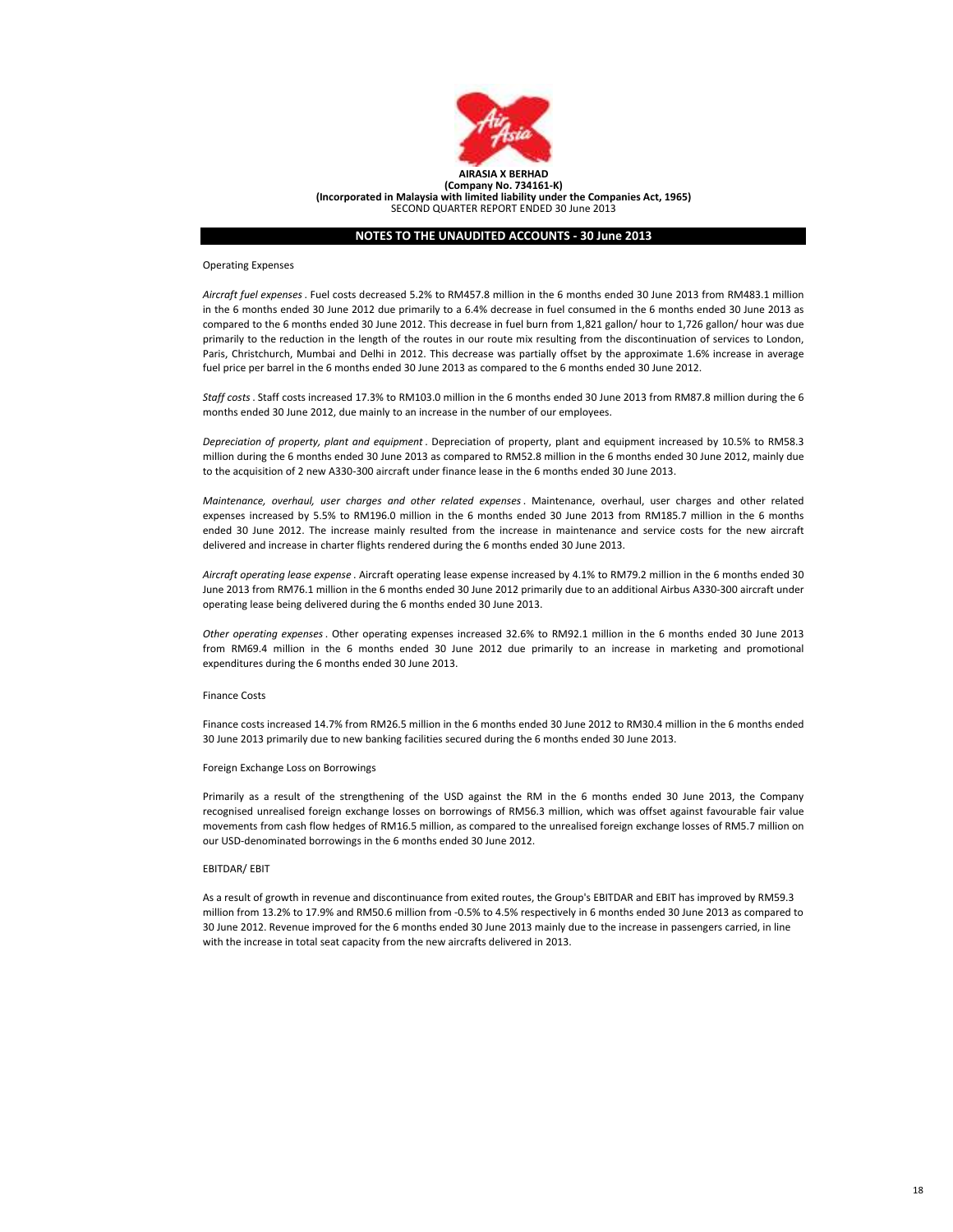

#### Operating Expenses

Aircraft fuel expenses. Fuel costs decreased 5.2% to RM457.8 million in the 6 months ended 30 June 2013 from RM483.1 million in the 6 months ended 30 June 2012 due primarily to a 6.4% decrease in fuel consumed in the 6 months ended 30 June 2013 as compared to the 6 months ended 30 June 2012. This decrease in fuel burn from 1,821 gallon/ hour to 1,726 gallon/ hour was due primarily to the reduction in the length of the routes in our route mix resulting from the discontinuation of services to London, Paris, Christchurch, Mumbai and Delhi in 2012. This decrease was partially offset by the approximate 1.6% increase in average fuel price per barrel in the 6 months ended 30 June 2013 as compared to the 6 months ended 30 June 2012.

Staff costs. Staff costs increased 17.3% to RM103.0 million in the 6 months ended 30 June 2013 from RM87.8 million during the 6 months ended 30 June 2012, due mainly to an increase in the number of our employees.

Depreciation of property, plant and equipment . Depreciation of property, plant and equipment increased by 10.5% to RM58.3 million during the 6 months ended 30 June 2013 as compared to RM52.8 million in the 6 months ended 30 June 2012, mainly due to the acquisition of 2 new A330-300 aircraft under finance lease in the 6 months ended 30 June 2013.

Maintenance, overhaul, user charges and other related expenses. Maintenance, overhaul, user charges and other related expenses increased by 5.5% to RM196.0 million in the 6 months ended 30 June 2013 from RM185.7 million in the 6 months ended 30 June 2012. The increase mainly resulted from the increase in maintenance and service costs for the new aircraft delivered and increase in charter flights rendered during the 6 months ended 30 June 2013.

Aircraft operating lease expense . Aircraft operating lease expense increased by 4.1% to RM79.2 million in the 6 months ended 30 June 2013 from RM76.1 million in the 6 months ended 30 June 2012 primarily due to an additional Airbus A330-300 aircraft under operating lease being delivered during the 6 months ended 30 June 2013.

Other operating expenses. Other operating expenses increased 32.6% to RM92.1 million in the 6 months ended 30 June 2013 from RM69.4 million in the 6 months ended 30 June 2012 due primarily to an increase in marketing and promotional expenditures during the 6 months ended 30 June 2013.

#### Finance Costs

Finance costs increased 14.7% from RM26.5 million in the 6 months ended 30 June 2012 to RM30.4 million in the 6 months ended 30 June 2013 primarily due to new banking facilities secured during the 6 months ended 30 June 2013.

# Foreign Exchange Loss on Borrowings

Primarily as a result of the strengthening of the USD against the RM in the 6 months ended 30 June 2013, the Company recognised unrealised foreign exchange losses on borrowings of RM56.3 million, which was offset against favourable fair value movements from cash flow hedges of RM16.5 million, as compared to the unrealised foreign exchange losses of RM5.7 million on our USD-denominated borrowings in the 6 months ended 30 June 2012.

#### EBITDAR/ EBIT

As a result of growth in revenue and discontinuance from exited routes, the Group's EBITDAR and EBIT has improved by RM59.3 million from 13.2% to 17.9% and RM50.6 million from -0.5% to 4.5% respectively in 6 months ended 30 June 2013 as compared to 30 June 2012. Revenue improved for the 6 months ended 30 June 2013 mainly due to the increase in passengers carried, in line with the increase in total seat capacity from the new aircrafts delivered in 2013.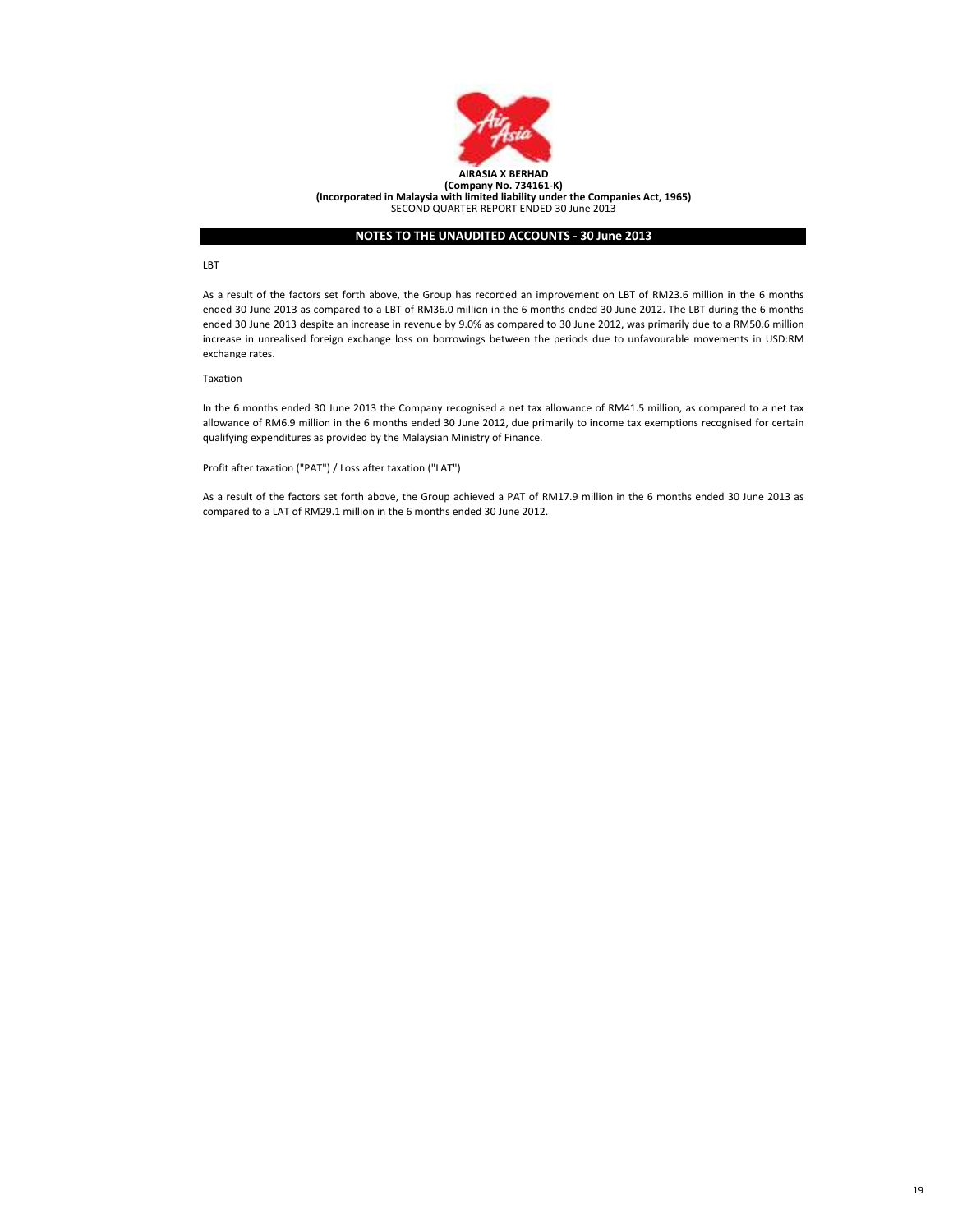

#### LBT

As a result of the factors set forth above, the Group has recorded an improvement on LBT of RM23.6 million in the 6 months ended 30 June 2013 as compared to a LBT of RM36.0 million in the 6 months ended 30 June 2012. The LBT during the 6 months ended 30 June 2013 despite an increase in revenue by 9.0% as compared to 30 June 2012, was primarily due to a RM50.6 million increase in unrealised foreign exchange loss on borrowings between the periods due to unfavourable movements in USD:RM exchange rates.

# Taxation

In the 6 months ended 30 June 2013 the Company recognised a net tax allowance of RM41.5 million, as compared to a net tax allowance of RM6.9 million in the 6 months ended 30 June 2012, due primarily to income tax exemptions recognised for certain qualifying expenditures as provided by the Malaysian Ministry of Finance.

Profit after taxation ("PAT") / Loss after taxation ("LAT")

As a result of the factors set forth above, the Group achieved a PAT of RM17.9 million in the 6 months ended 30 June 2013 as compared to a LAT of RM29.1 million in the 6 months ended 30 June 2012.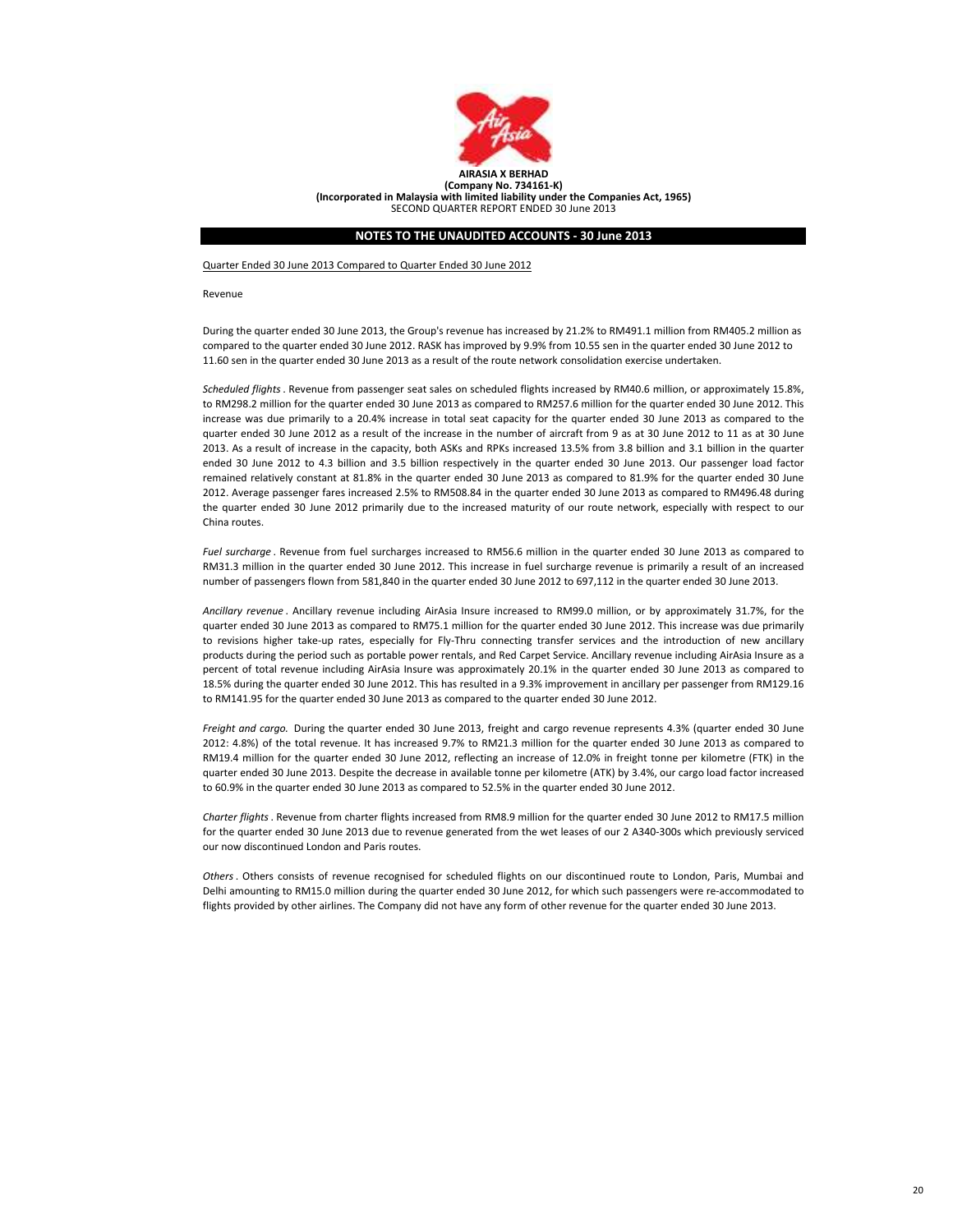

Quarter Ended 30 June 2013 Compared to Quarter Ended 30 June 2012

Revenue

During the quarter ended 30 June 2013, the Group's revenue has increased by 21.2% to RM491.1 million from RM405.2 million as compared to the quarter ended 30 June 2012. RASK has improved by 9.9% from 10.55 sen in the quarter ended 30 June 2012 to 11.60 sen in the quarter ended 30 June 2013 as a result of the route network consolidation exercise undertaken.

Scheduled flights. Revenue from passenger seat sales on scheduled flights increased by RM40.6 million, or approximately 15.8%, to RM298.2 million for the quarter ended 30 June 2013 as compared to RM257.6 million for the quarter ended 30 June 2012. This increase was due primarily to a 20.4% increase in total seat capacity for the quarter ended 30 June 2013 as compared to the quarter ended 30 June 2012 as a result of the increase in the number of aircraft from 9 as at 30 June 2012 to 11 as at 30 June 2013. As a result of increase in the capacity, both ASKs and RPKs increased 13.5% from 3.8 billion and 3.1 billion in the quarter ended 30 June 2012 to 4.3 billion and 3.5 billion respectively in the quarter ended 30 June 2013. Our passenger load factor remained relatively constant at 81.8% in the quarter ended 30 June 2013 as compared to 81.9% for the quarter ended 30 June 2012. Average passenger fares increased 2.5% to RM508.84 in the quarter ended 30 June 2013 as compared to RM496.48 during the quarter ended 30 June 2012 primarily due to the increased maturity of our route network, especially with respect to our China routes.

Fuel surcharge . Revenue from fuel surcharges increased to RM56.6 million in the quarter ended 30 June 2013 as compared to RM31.3 million in the quarter ended 30 June 2012. This increase in fuel surcharge revenue is primarily a result of an increased number of passengers flown from 581,840 in the quarter ended 30 June 2012 to 697,112 in the quarter ended 30 June 2013.

Ancillary revenue . Ancillary revenue including AirAsia Insure increased to RM99.0 million, or by approximately 31.7%, for the quarter ended 30 June 2013 as compared to RM75.1 million for the quarter ended 30 June 2012. This increase was due primarily to revisions higher take-up rates, especially for Fly-Thru connecting transfer services and the introduction of new ancillary products during the period such as portable power rentals, and Red Carpet Service. Ancillary revenue including AirAsia Insure as a percent of total revenue including AirAsia Insure was approximately 20.1% in the quarter ended 30 June 2013 as compared to 18.5% during the quarter ended 30 June 2012. This has resulted in a 9.3% improvement in ancillary per passenger from RM129.16 to RM141.95 for the quarter ended 30 June 2013 as compared to the quarter ended 30 June 2012.

Freight and cargo. During the quarter ended 30 June 2013, freight and cargo revenue represents 4.3% (quarter ended 30 June 2012: 4.8%) of the total revenue. It has increased 9.7% to RM21.3 million for the quarter ended 30 June 2013 as compared to RM19.4 million for the quarter ended 30 June 2012, reflecting an increase of 12.0% in freight tonne per kilometre (FTK) in the quarter ended 30 June 2013. Despite the decrease in available tonne per kilometre (ATK) by 3.4%, our cargo load factor increased to 60.9% in the quarter ended 30 June 2013 as compared to 52.5% in the quarter ended 30 June 2012.

Charter flights. Revenue from charter flights increased from RM8.9 million for the quarter ended 30 June 2012 to RM17.5 million for the quarter ended 30 June 2013 due to revenue generated from the wet leases of our 2 A340-300s which previously serviced our now discontinued London and Paris routes.

Others. Others consists of revenue recognised for scheduled flights on our discontinued route to London, Paris, Mumbai and Delhi amounting to RM15.0 million during the quarter ended 30 June 2012, for which such passengers were re-accommodated to flights provided by other airlines. The Company did not have any form of other revenue for the quarter ended 30 June 2013.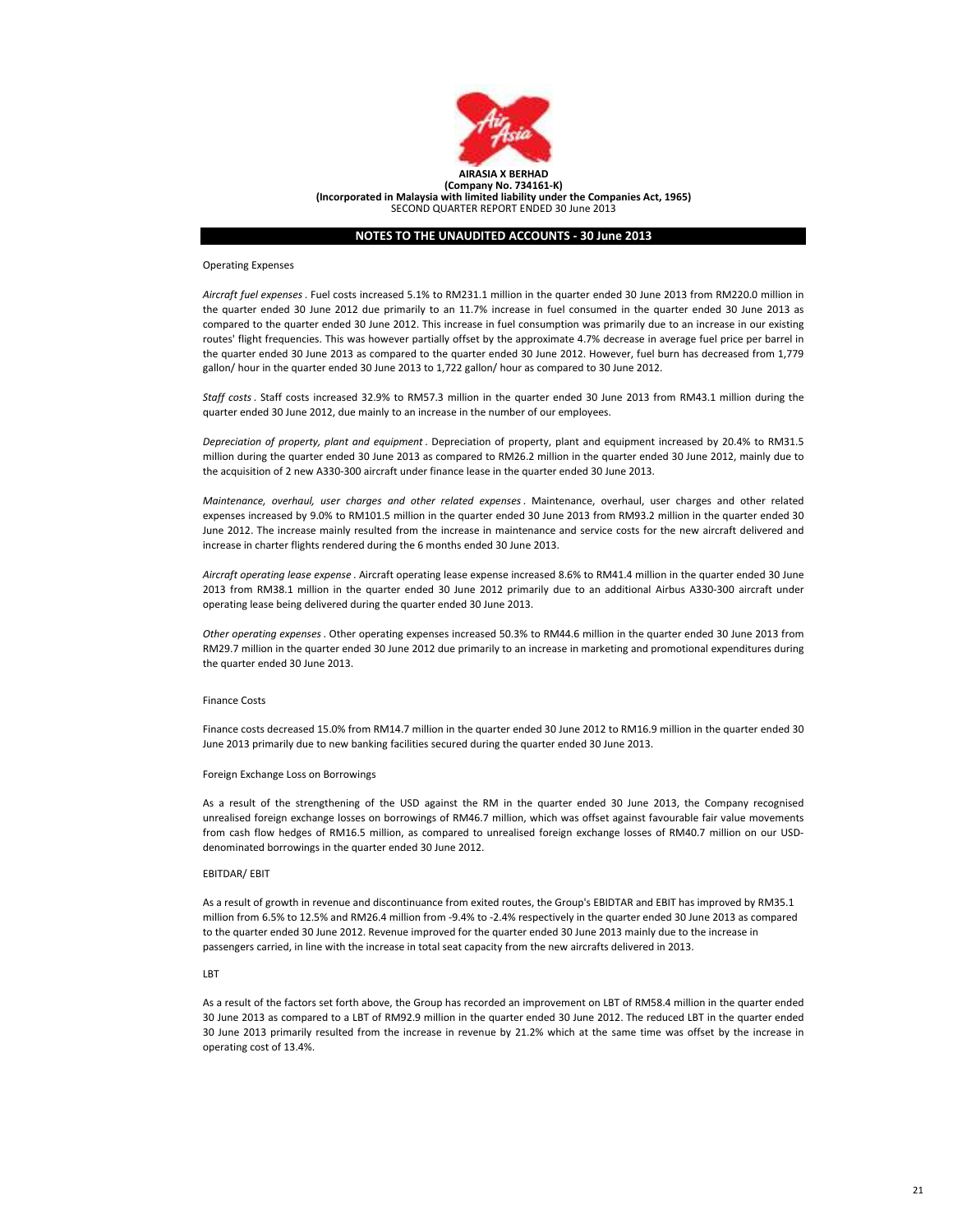

#### Operating Expenses

Aircraft fuel expenses. Fuel costs increased 5.1% to RM231.1 million in the quarter ended 30 June 2013 from RM220.0 million in the quarter ended 30 June 2012 due primarily to an 11.7% increase in fuel consumed in the quarter ended 30 June 2013 as compared to the quarter ended 30 June 2012. This increase in fuel consumption was primarily due to an increase in our existing routes' flight frequencies. This was however partially offset by the approximate 4.7% decrease in average fuel price per barrel in the quarter ended 30 June 2013 as compared to the quarter ended 30 June 2012. However, fuel burn has decreased from 1,779 gallon/ hour in the quarter ended 30 June 2013 to 1,722 gallon/ hour as compared to 30 June 2012.

Staff costs. Staff costs increased 32.9% to RM57.3 million in the quarter ended 30 June 2013 from RM43.1 million during the quarter ended 30 June 2012, due mainly to an increase in the number of our employees.

Depreciation of property, plant and equipment . Depreciation of property, plant and equipment increased by 20.4% to RM31.5 million during the quarter ended 30 June 2013 as compared to RM26.2 million in the quarter ended 30 June 2012, mainly due to the acquisition of 2 new A330-300 aircraft under finance lease in the quarter ended 30 June 2013.

Maintenance, overhaul, user charges and other related expenses. Maintenance, overhaul, user charges and other related expenses increased by 9.0% to RM101.5 million in the quarter ended 30 June 2013 from RM93.2 million in the quarter ended 30 June 2012. The increase mainly resulted from the increase in maintenance and service costs for the new aircraft delivered and increase in charter flights rendered during the 6 months ended 30 June 2013.

Aircraft operating lease expense . Aircraft operating lease expense increased 8.6% to RM41.4 million in the quarter ended 30 June 2013 from RM38.1 million in the quarter ended 30 June 2012 primarily due to an additional Airbus A330-300 aircraft under operating lease being delivered during the quarter ended 30 June 2013.

Other operating expenses. Other operating expenses increased 50.3% to RM44.6 million in the quarter ended 30 June 2013 from RM29.7 million in the quarter ended 30 June 2012 due primarily to an increase in marketing and promotional expenditures during the quarter ended 30 June 2013.

#### Finance Costs

Finance costs decreased 15.0% from RM14.7 million in the quarter ended 30 June 2012 to RM16.9 million in the quarter ended 30 June 2013 primarily due to new banking facilities secured during the quarter ended 30 June 2013.

#### Foreign Exchange Loss on Borrowings

As a result of the strengthening of the USD against the RM in the quarter ended 30 June 2013, the Company recognised unrealised foreign exchange losses on borrowings of RM46.7 million, which was offset against favourable fair value movements from cash flow hedges of RM16.5 million, as compared to unrealised foreign exchange losses of RM40.7 million on our USDdenominated borrowings in the quarter ended 30 June 2012.

#### EBITDAR/ EBIT

As a result of growth in revenue and discontinuance from exited routes, the Group's EBIDTAR and EBIT has improved by RM35.1 million from 6.5% to 12.5% and RM26.4 million from -9.4% to -2.4% respectively in the quarter ended 30 June 2013 as compared to the quarter ended 30 June 2012. Revenue improved for the quarter ended 30 June 2013 mainly due to the increase in passengers carried, in line with the increase in total seat capacity from the new aircrafts delivered in 2013.

# **LBT**

As a result of the factors set forth above, the Group has recorded an improvement on LBT of RM58.4 million in the quarter ended 30 June 2013 as compared to a LBT of RM92.9 million in the quarter ended 30 June 2012. The reduced LBT in the quarter ended 30 June 2013 primarily resulted from the increase in revenue by 21.2% which at the same time was offset by the increase in operating cost of 13.4%.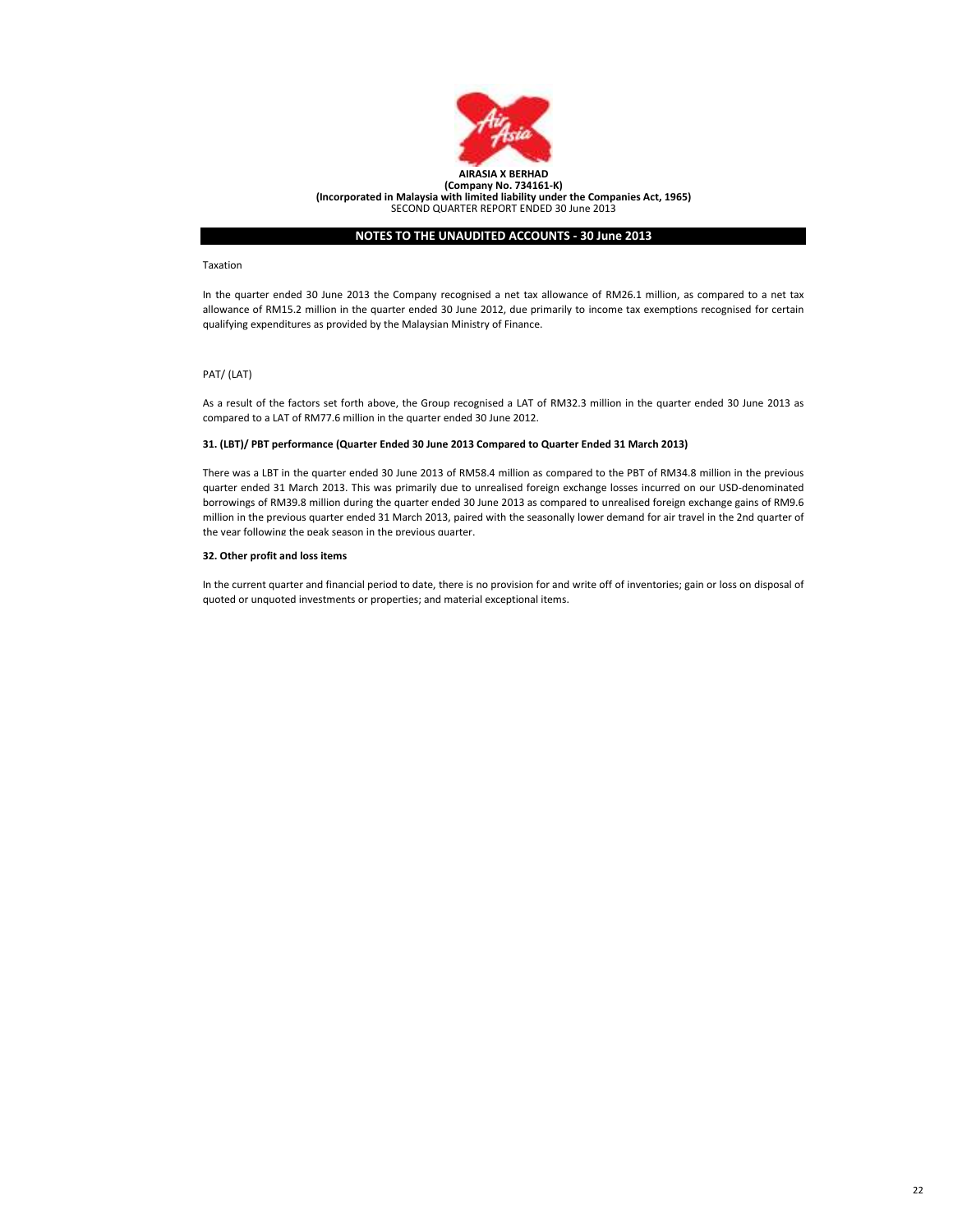

#### Taxation

In the quarter ended 30 June 2013 the Company recognised a net tax allowance of RM26.1 million, as compared to a net tax allowance of RM15.2 million in the quarter ended 30 June 2012, due primarily to income tax exemptions recognised for certain qualifying expenditures as provided by the Malaysian Ministry of Finance.

# PAT/ (LAT)

As a result of the factors set forth above, the Group recognised a LAT of RM32.3 million in the quarter ended 30 June 2013 as compared to a LAT of RM77.6 million in the quarter ended 30 June 2012.

# 31. (LBT)/ PBT performance (Quarter Ended 30 June 2013 Compared to Quarter Ended 31 March 2013)

There was a LBT in the quarter ended 30 June 2013 of RM58.4 million as compared to the PBT of RM34.8 million in the previous quarter ended 31 March 2013. This was primarily due to unrealised foreign exchange losses incurred on our USD-denominated borrowings of RM39.8 million during the quarter ended 30 June 2013 as compared to unrealised foreign exchange gains of RM9.6 million in the previous quarter ended 31 March 2013, paired with the seasonally lower demand for air travel in the 2nd quarter of the year following the peak season in the previous quarter.

# 32. Other profit and loss items

In the current quarter and financial period to date, there is no provision for and write off of inventories; gain or loss on disposal of quoted or unquoted investments or properties; and material exceptional items.